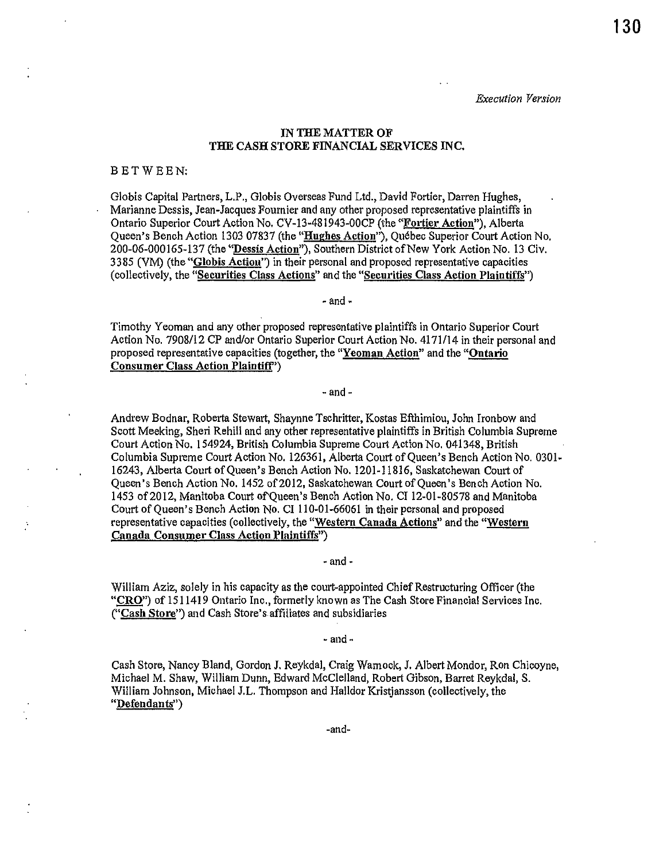*Execution Version* 

# IN THE MATTER OF THE CASH STORE FINANCIAL SERVICES INC.

#### BET WEEN:

Globis Capital Partners, L.P., Globis Overseas Fund Ltd., David Fortier, Darren Hughes, Marianne Dessis, Jean-Jacques Fournier and any other proposed representative plaintiffs in Ontario Superior Court Action No. CV-13-481943-00CP (the "Fortier Action"), Alberta Queen's Bench Action 1303 07837 (the "Hughes Action"), Quebec Superior Court Action No. 200-06-000165-137 (the "Dessis Action"), Southern District of New York Action No. 13 Civ. 3385 (VM) (the "Globis Action") in their personal and proposed representative capacities (collectively, the "Securities Class Actions" and the "Securities Class Action Plaintiffs")

- and·

Timothy Yeoman and any other proposed representative plaintiffs in Ontario Superior Court Action No. 7908/12 CP and/or Ontario Superior Court Action No. 4171/14 in their personal and proposed representative capacities (together, the "Yeoman Action" and the "Ontario Consumer Class Action Plaintiff')

- and-

Andrew Bodnar, Roberta Stewart, Shaynne Tschritter, Kostas Efthimiou, John Ironbow and Scott Meeking, Sheri Rehill and any other representative plaintiffs in British Columbia Supreme Court Action No. 154924, British Columbia Supreme Court Action No. 041348, British Columbia Supreme Court Action No. 126361, Alberta Court of Queen's Bench Action No. 0301- 16243, Alberta Court of Queen's Bench Action No. 1201-11816, Saskatchewan Court of Queen's Bench Action No. 1452 of 2012, Saskatchewan Court of Queen's Bench Action No. 1453 of2012, Manitoba Court ofQueen's Bench Action No. Cl 12-01-80578 and Manitoba Court of Queen's Bench Action No. CI 110-01-66061 in their personal and proposed representative capacities (collectively, the "Western Canada Actions" and the "Westem Canada Consumer Class Action Plaintiffs")

·and -

William Aziz, solely in his capacity as the court-appointed Chief Restructuring Officer (the " $CRO$ ") of 1511419 Ontario Inc., formerly known as The Cash Store Financial Services Inc. ("Cash Store") and Cash Store's.affiliates and subsidiaries

- and -

Cash Store, Nancy Bland, Gordon J. Reykdal, Craig Warnock, J. Albert Mondor, Ron Chicoyne, Michael M. Shaw, William Dunn, Edward McClelland, Robert Gibson, Barret Reykdal, S. William Johnson, Michael J.L. Thompson and Halldor Kristjansson (collectively, the "Defendants")

-and-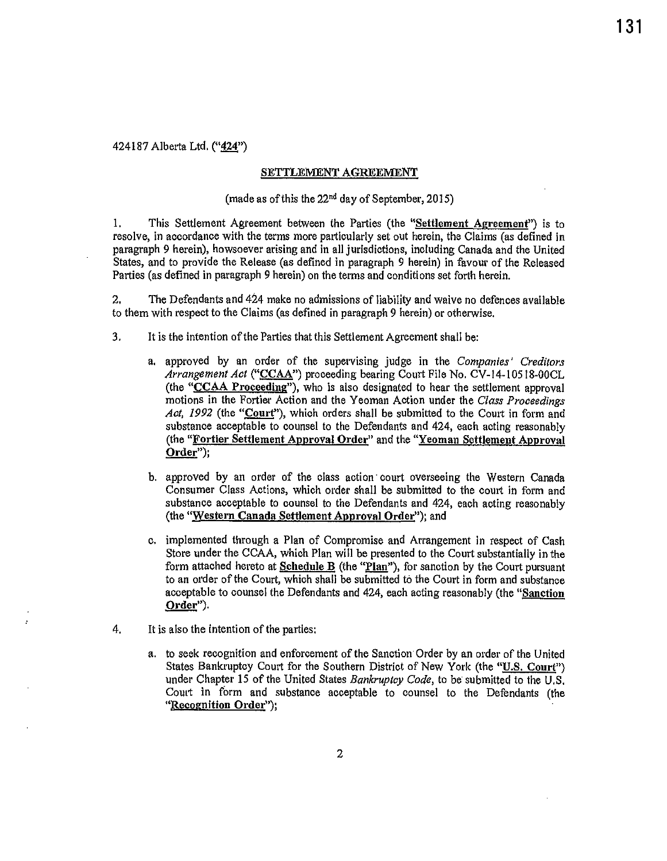424187 Alberta Ltd. ("424")

#### SETTLEMENT AGREEMENT

# (made as of this the 22nd day of September, 2015)

!. This Settlement Agreement between the Parties (the "Settlement Agreement") is to resolve, in accordance with the terms more particularly set out herein, the Claims (as defined in paragraph 9 herein), howsoever arising and in all jurisdictions, including Canada and the United States, and to provide the Release (as defined in paragraph 9 herein) in favour of the Released Parties (as defined in paragraph 9 herein) on the terms and conditions set forth herein.

2. The Defendants and 424 make no admissions of liability and waive no defences available to them with respect to the Claims (as defined in paragraph 9 herein) or otherwise.

- 3. It is the intention of the Parties that this Settlement Agreement shall be:
	- a. approved by an order of the supervising judge in the *Companies' Creditors Arrangement Act* ("CCAA") proceeding bearing Court File No. CV-14-10518-00CL (the "CCAA Proceeding"), who is also designated to hear the settlement approval motions in the Fortier Action and the Yeoman Action under the *Class Proceedings* Act, 1992 (the "Court"), which orders shall be submitted to the Court in form and substance acceptable to counsel to the Defendants and 424, each acting reasonably (the "Fortier Settlement Approval Order" and the "Yeoman Settlement Approval Order");
	- b. approved by an order of the class action court overseeing the Western Canada Consumer Class Actions, which order shall be submitted to the court in form and substance acceptable to counsel to the Defendants and 424, each acting reasonably (the "Western Canada Settlement Approval Order"); and
	- c. implemented through a Plan of Compromise and Arrangement in respect of Cash Store under the CCAA, which Plan will be presented to the Court substantially in the form attached hereto at Schedule B (the "Plan"), for sanction by the Court pursuant to an order of the Court, which shall be submitted to the Court in form and substance acceptable to counsel the Defendants and 424, each acting reasonably (the "Sanction Order").
- 4. It is also the intention of the parties:
	- a. to seek recognition and enforcement of the Sanction Order by an order of the United States Bankruptcy Court for the Southern District of New York (the "U.S. Court") under Chapter 15 of the United States *Bankruptcy Code,* to be submitted to the U.S. Court in form and substance acceptable to counsel to the Defendants (the "Recognition Order");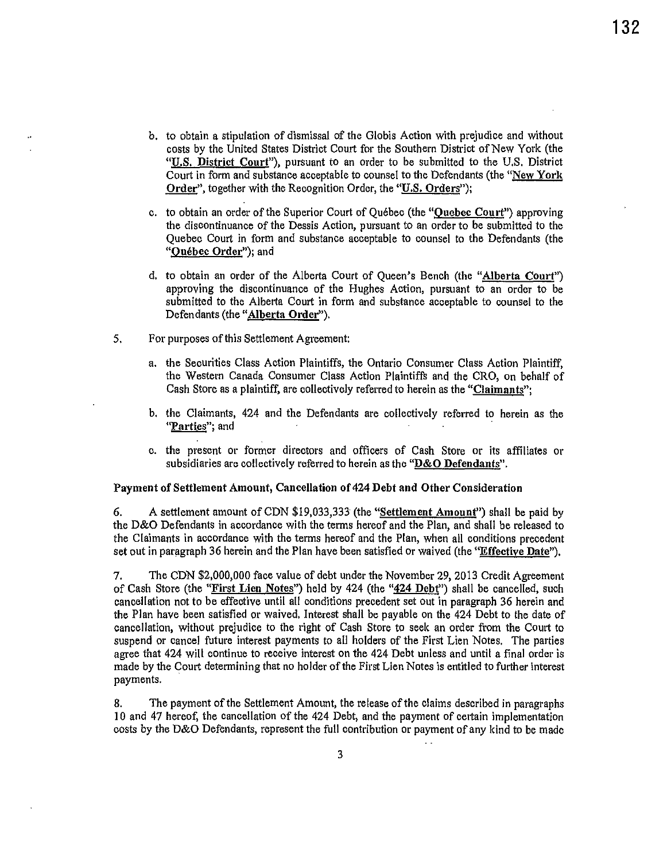- b. to obtain a stipulation of dismissal of the Globis Action with prejudice and without costs by the United States District Court for the Southern District of New York (the "U.S. District Court"), pursuant to an order to be submitted to the U.S. District Court in form and substance acceptable to counsel to the Defendants (the "New York Order", together with the Recognition Order, the "U.S. Orders");
- c. to obtain an order of the Superior Court of Québec (the "Quebec Court") approving the discontinuance of the Dessis Action, pursuant to an order to be submitted to the Quebec Court in form and substance acceptable to counsel to the Defendants (the "Ouébec Order"); and
- d. to obtain an order of the Alberta Court of Queen's Bench (the "Alberta Court") approving the discontinuance of the Hughes Action, pursuant to an order to be submitted to the Alberta Court in form and substance acceptable to counsel to the Defendants (the "Alberta Order").
- 5. For purposes of this Settlement Agreement:
	- a. the Securities Class Action Plaintiffs, the Ontario Consumer Class Action Plaintiff, the Western Canada Consumer Class Action Plaintiffs and the CRO, on behalf of Cash Store as a plaintiff, are collectively referred to herein as the "Claimants";
	- b. the Claimants, 424 and the Defendants are collectively referred to herein as the **"Parties"; and**
	- c. the present or former directors and officers of Cash Store or its affiliates or subsidiaries are collectively referred to herein as the "D&O Defendants''.

#### Payment of Settlement Amount, Cancellation of 424 Debt and Other Consideration

6. A settlement amount of CDN \$19,033,333 (the "Settlement Amount") shall be paid by the D&O Defendants in accordance with the terms hereof and the Plan, and shall be released to the Claimants in accordance with the terms hereof and the Plan, when all conditions precedent set out in paragraph 36 herein and the Plan have been satisfied or waived (the "Effective Date").

7. The CDN \$2,000,000 face value of debt under the November 29, 2013 Credit Agreement of Cash Store (the "First Lien Notes") held by 424 (the "424 Debt") shall be cancelled, such cancellation not to be effective until all conditions precedent set out in paragraph 36 herein and the Plan have been satisfied or waived. Interest shall be payable on the 424 Debt to the date of cancellation, without prejudice to the right of Cash Store to seek an order from the Court to suspend or cancel future interest payments to all holders of the First Lien Notes. The parties agree that 424 will continue to receive interest on the 424 Debt unless and until a final order is made by the Court determining that no holder of the First Lien Notes is entitled to further interest payments.

8. The payment of the Settlement Amount, the release of the claims described in paragraphs 10 and 47 hereof, the cancellation of the 424 Debt, and the payment of certain implementation costs by the D&O Defendants, represent the full contribution or payment of any kind to be made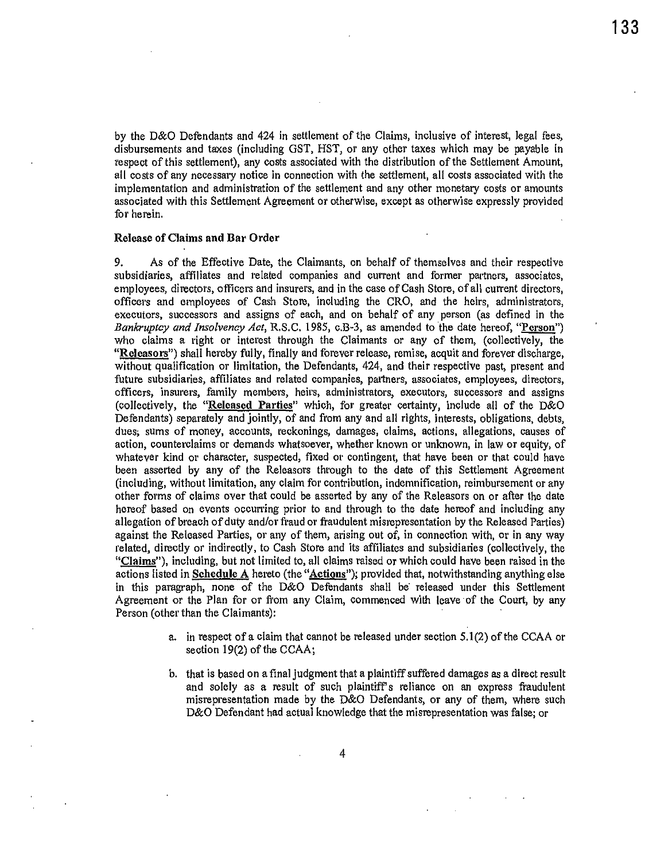by the D&O Defendants and 424 in settlement of the Claims, inclusive of interest, legal fees, disbursements and taxes (including GST, HST, or any other taxes which may be payable in respect of this settlement), any costs associated with the distribution of the Settlement Amount, all costs of any necessary notice in connection with the settlement, all costs associated with the implementation and administration of the settlement and any other monetary costs or amounts associated with this Settlement Agreement or otherwise, except as otherwise expressly provided for herein.

#### Release of Claims and Bar Order

9. As of the Effective Date, the Claimants, on behalf of themselves and their respective subsidiaries, affiliates and related companies and current and former partners, associates, employees, directors, officers and insurers, and in the case of Cash Store, of all current directors, officers and employees of Cash Store, including the CRO, and the heirs, administrators, executors, successors and assigns of each, and on behalf of any person (as defined in the *Bankruptcy and Insolvency Act,* R.S.C. 1985, c.B-3, as amended to the date hereof, "Person") who claims a right or interest through the Claimants or any of them, (collectively, the "Releasors") shall hereby fully, finally and forever release, remise, acquit and forever discharge, without qualification or limitation, the Defendants, 424, and their respective past, present and future subsidiaries, affiliates and related companies, pattners, associates, employees, directors, officers, insurers, family members, heirs, administrators, executors, successors and assigns (collectively, the "Released Parties" which, for greater certainty, include all of the D&O Defendants) separately and jointly, of and from any and all rights, interests, obligations, debts, dues; sums of money, accounts, reckonings, damages, claims, actions, allegations, causes of action, counterclaims or demands whatsoever, whether known or unknown, in law or equity, of whatever kind or character, suspected, fixed or contingent, that have been or that could have been asserted by any of the Releasors through to the date of this Settlement Agreement (including, without limitation, any claim for contribution, indemnification, reimbursement or any other forms of claims over that could be asserted by any of the Releasors on or after the date hereof based on events occurring prior to and through to the date hereof and including any allegation of breach of duty and/or fraud or fraudulent misrepresentation by the Released Parties) against the Released Parties, or any of them, arising out of, in connection with, or in any way related, directly or indirectly, to Cash Store and its affiliates and subsidiaries (collectively, the "Claims"), including, but not limited to, all claims raised or which could have been raised in the actions listed in **Schedule A** hereto (the "**Actions**"); provided that, notwithstanding anything else in this paragraph, none of the D&O Defendants shall be· released under this Settlement Agreement or the Plan for or from any Claim, commenced with leave of the Court, by any Person (other than the Claimants):

- a. in respect of a claim that cannot be released under section 5.1(2) of the CCAA or section 19(2) of the CCAA;
- b. that is based on a final judgment that a plaintiff suffered damages as a direct result and solely as a result of such plaintiff's reliance on an express fraudulent misrepresentation made by the D&O Defendants, or any of them, where such D&O Defendant had actual knowledge that the misrepresentation was false; or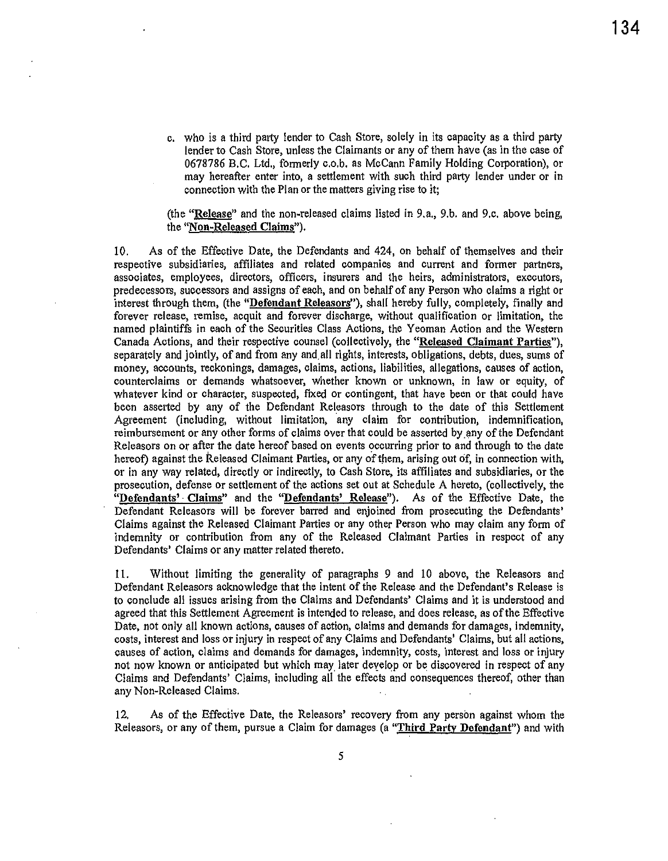c. who is a third party lender to Cash Store, solely in its capacity as a third party lender to Cash Store, unless the Claimants or any of them have (as in the case of 0678786 B.C. Ltd., formerly c.o.b. as McCann Family Holding Corporation), or may hereafter enter into, a settlement with such third party lender under or in connection with the Plan or the matters giving rise to it;

(the "Release" and the non-released claims listed in 9.a., 9.b. and 9.c. above being, the "Non-Released Claims").

10. As of the Effective Date, the Defendants and 424, on behalf of themselves and their respective subsidiaries, affiliates and related companies and current and former partners, associates, employees, directors, officers, insurers and the heirs, administrators, executors, predecessors, successors and assigns of each, and on behalf of any Person who claims a right or interest through them, (the "Defendant Releasors"), shall hereby fully, completely, finally and forever release, remise, acquit and forever discharge, without qualification or limitation, the named plaintiffs in each of the Securities Class Actions, the Yeoman Action and the Western Canada Actions, and their respective counsel (collectively, the "Released Claimant Parties"), separately and jointly, of and from any and.all rights, interests, obligations, debts, dues, sums of money, accounts, reckonings, damages, claims, actions, liabilities, allegations, causes of action, counterclaims or demands whatsoever, whether known or unknown, in law or equity, of whatever kind or character, suspected, fixed or contingent, that have been or that could have been asserted by any of the Defendant Releasors through to the date of this Settlement Agreement (including, without limitation, any claim for contribution, indemnification, reimbursement or any other forms of claims over that could be asserted by any of the Defendant Releasors on or after the date hereof based on events occurring prior to and through to the date hereof) against the Released Claimant Parties, or any of them, arising out of, in connection with, or in any way related, directly or indirectly, to Cash Store, its affiliates and subsidiaries, or the prosecution, defense or settlement of the actions set out at Schedule A hereto, (collectively, the "Defendants' Claims" and the "Defendants' Release"). As of the Effective Date, the Defendant Releasors will be forever barred and enjoined from prosecuting the Defendants' Claims against the Released Claimant Parties or any other Person who may claim any form of indemnity or contribution from any of the Released Claimant Parties in respect of any Defendants' Claims or any matter related thereto.

11. Without limiting the generality of paragraphs 9 and 10 above, the Releasors and Defendant Releasors acknowledge that the intent of the Release and the Defendant's Release is to conclude all issues arising from the Claims and Defendants' Claims and it is understood and agreed that this Settlement Agreement is intended to release, and does release, as of the Effective Date, not only all known actions, causes of action, claims and demands for damages, indemnity, costs, interest and loss or injury in respect of any Claims and Defendants' Claims, but all actions, causes of action, claims and demands for damages, indemnity, costs, interest and loss or injury not now known or anticipated but which may later develop or be discovered in respect of any Claims and Defendants' Claims, including all the effects and consequences thereof, other than any Non-Released Claims.

12. As of the Effective Date, the Releasors' recovery from any person against whom the Releasors, or any of them, pursue a Claim for damages (a "Third Party Defendant") and with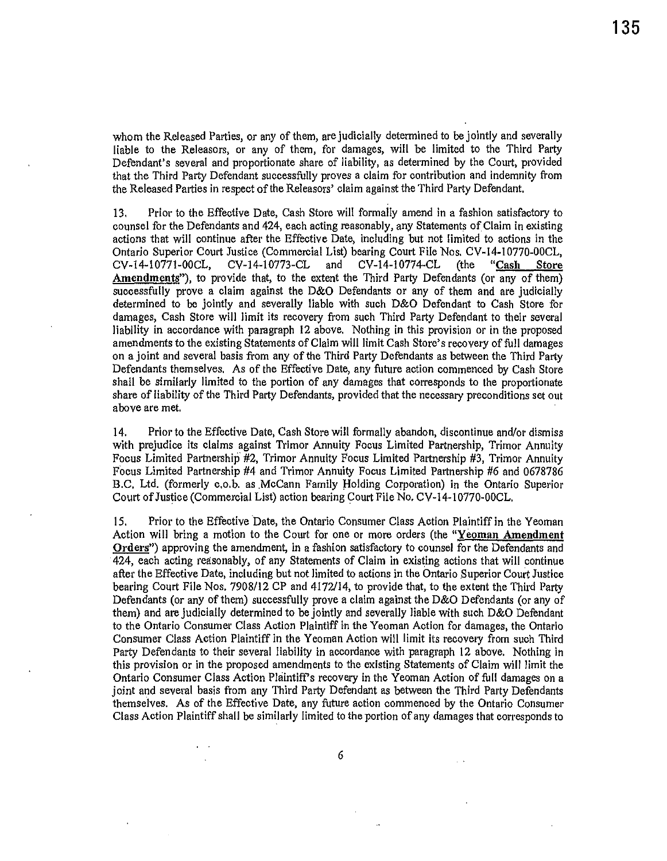whom the Released Parties, or any of them, are judicially determined to be jointly and severally liable to the Releasers, or any of them, for damages, will be limited to the Third Party Defendant's several and proportionate share of liability, as determined by the Court, provided that the Third Party Defendant successfully proves a claim for contribution and indemnity from the Released Patties in respect of the Releasers' claim against the Third Party Defendant.

13. Prior to the Effective Date, Cash Store will formally amend in a fashion satisfactory to counsel for the Defendants and 424, each acting reasonably, any Statements of. Claim in existing actions that will continue after the Effective Date, including but not limited to actions in the Ontario Superior Court Justice (Commercial List) bearing Court File Nos. CV-14-10770-00CL, CV-14-10771-00CL, CV-14-10773-CL and CV-14-10774-CL (the "Cash Store Amendments"), to provide that, to the extent the Third Party Defendants (or any of them) successfully prove a claim against the D&O Defendants or any of them and are judicially determined to be jointly and severally liable with such D&O Defendant to Cash Store for damages, Cash Store will limit its recovery from such Third Party Defendant to their several liability in accordance with paragraph 12 above, Nothing in this provision or in the proposed amendments to the existing Statements of Claim will limit Cash Store's recovery of full damages on a joint and several basis from any of the Third Party Defendants as between the Third Party Defendants themselves. As of the Effective Date, any future action commenced by Cash Store shall be similarly limited to the portion of any damages that corresponds to the proportionate share of liability of the Third Party Defendants, provided that the necessary preconditions set out above are met.

14. Prior to the Effective Date, Cash Store will formally abandon, discontinue and/or dismiss with prejudice its claims against Trimor Annuity Focus Limited Partnership, Trimor Annuity Focus Limited Partnership #2, Trimor Annuity Focus Limited Partnership #3, Trimor Annuity Focus Limited Partnership #4 and Trimor Annuity Focus Limited Partnership #6 and 0678786 B.C, Ltd. (formerly c.o.b. as .McCann Family Holding Corporation) in the Ontario Superior Court ofJustice (Commercial List) action bearing Court File No. CV-14-10770-00CL,

15, Prior to the Effective Date, the Ontario Consumer Class Action Plaintiff in the Yeoman Action will bring a motion to the Court for one or more orders (the "Yeoman Amendment Orders") approving the amendment, in a fashion satisfactory to counsel for the Defendants and 424, each acting reasonably, of any Statements of Claim in existing actions that will continue after the Effective Date, including but not limited to actions in the Ontario Superior Court Justice bearing Court File Nos. 7908/12 CP and 4172/14, to provide that, to the extent the Third Party Defendants (or any of them) successfully prove a claim against the D&O Defendants (or any of them) and are judicially determined to be jointly and severally liable with such D&O Defendant to the Ontario Consumer Class Action Plaintiff in the Yeoman Action for damages, the Ontario Consumer Class Action Plaintiff in the Yeoman Action will limit its recovery from such Third Party Defendants to their several liability in accordance with paragraph 12 above. Nothing in this provision or in the proposed amendments to the existing Statements of Claim will limit the Ontario Consumer Class Action Plaintiff's recovery in the Yeoman Action of full damages on a joint and several basis from any Third Party Defendant as between the Third Party Defendants themselves. As of the Effective Date, any future action commenced by the Ontario Consumer Class Action Plaintiff shall be similarly limited to the portion of any damages that corresponds to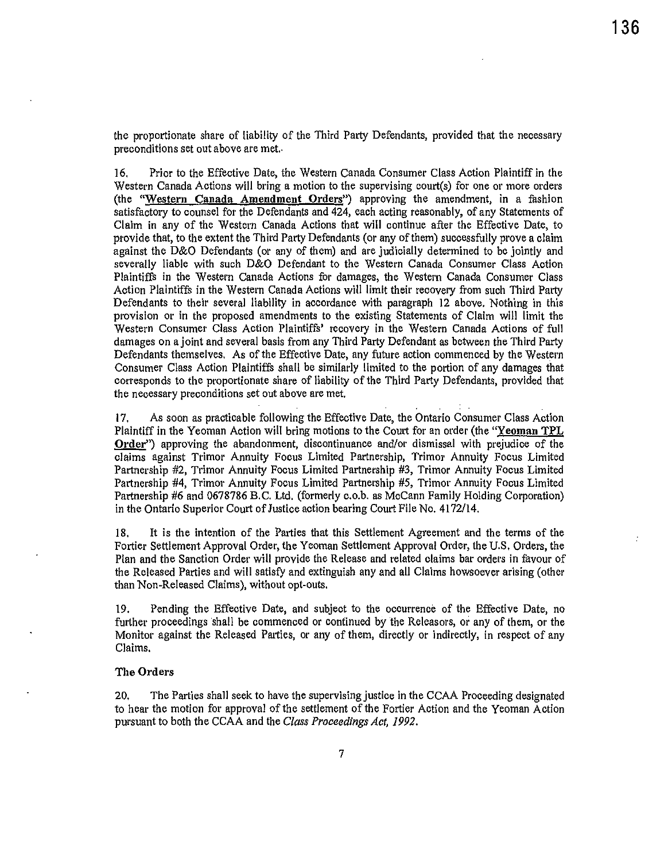the proportionate share of liability of the Third Party Defendants, provided that the necessary preconditions set out above are met,.

16. Prior to the Effective Date, the Western Canada Consumer Class Action Plaintiff in the Western Canada Actions will bring a motion to the supervising court(s) for one or more orders (the "Western Canada Amendment Orders") approving the amendment, in a fashion satisfactory to counsel for the Defendants and 424, each acting reasonably, of any Statements of Claim in any of the Western Canada Actions that will continue after the Effective Date, to provide that, to the extent the Third Party Defendants (or any of them) successfully prove a claim against the D&O Defendants (or any of them) and are judicially determined to be jointly and severally liable with such D&O Defendant to the Western Canada Consumer Class Action Plaintiffs in the Western Canada Actions for damages, the Western Canada Consumer Class Action Plaintiffs in the Western Canada Actions will limlt their recovery from such Third Party Defendants to their several liability in accordance with paragraph 12 above. Nothing in this provision or in the proposed amendments to the existing Statements of Claim will limit the Western Consumer Class Action Plaintiffs' recovery in the Western Canada Actions of full damages on a joint and several basis from any Third Party Defendant as between the Third Party Defendants themselves. As of the Effective Date, any future action commenced by the Western Consumer Class Action Plaintiffs shall be similarly limited to the portion of any damages that corresponds to the proportionate share of liability of the Third Party Defendants, provided that the necessary preconditions set out above are met.

17. As soon as practicable following the Effective Date, the Ontario Consumer Class Action Plaintiff in the Yeoman Action will bring motions to the Court for an order (the "Yeoman TPL Order") approving the abandonment, discontinuance and/or dismissal with prejudice of the claims against Trimor Annuity Focus Limited Partnership, Trimor Annuity Focus Limited Partnership #2, Trimor Annuity Focus Limited Partnership #3, Trimor Annuity Focus Limited Partnership #4, Trimor Annuity Focus Limited Partnership #5, Trimor Annuity Focus Limited Partnership #6 and 0678786 B.C. Ltd. (formerly c.o.b. as McCann Family Holding Corporation) in the Ontario Superior Court of Justice action bearing Court File No. 4172/14.

18. It is the intention of the Parties that this Settlement Agreement and the terms of the Fortier Settlement Approval Order, the Yeoman Settlement Approval Order, the U.S. Orders, the Plan and the Sanction Order will provide the Release and related claims bar orders in favour of the Released Parties and will satisfy and extinguish any and all Claims howsoever arising (other than Non-Released Claims), without opt-outs.

19. Pending the Effective Date, and subject to the occurrence of the Effective Date, no further proceedings shall be commenced or continued by the Releasors, or any of them, or the Monitor against the Released Parties, or any of them, directly or indirectly, in respect of any Claims,

#### The Orders

20. The Parties shall seek to have the supervising justice in the CCAA Proceeding designated to hear the motion for approval of the settlement of the Fortier Action and the Yeoman Action pursuant to both the CCAA and the *Class Proceedings Act, 1992.*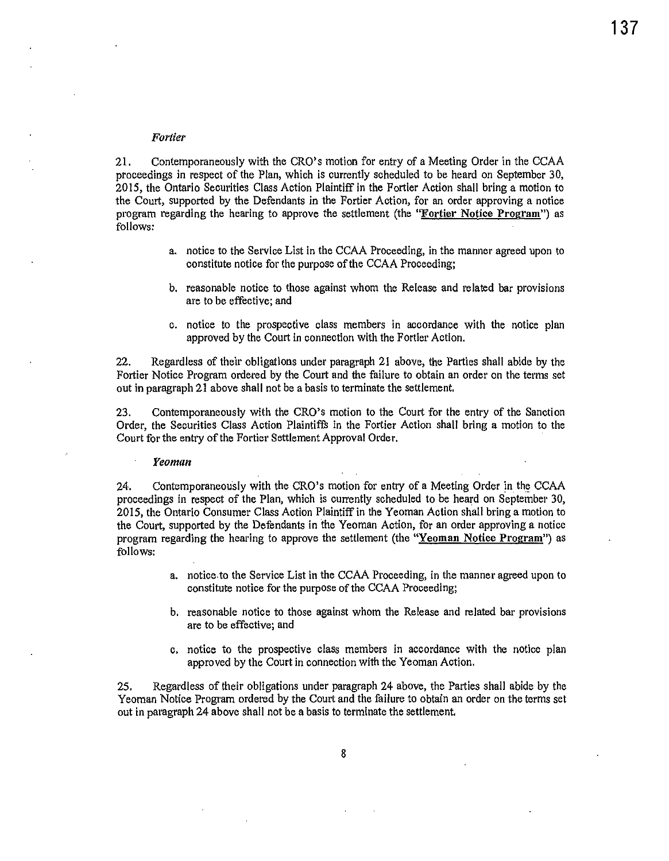#### *Fortier*

21. Contemporaneously with the CRO's motion for entry of a Meeting Order in the CCAA proceedings in respect of the Plan, which is currently scheduled to be heard on September 30, 2015, the Ontario Securities Class Action Plaintiff in the Fortier Action shall bring a motion to the Court, supported by the Defendants in the Fortier Action, for an order approving a notice program regarding the hearing to approve the settlement (the "Fortier Notice Program") as follows:

- a. notice to the Service List in the CCAA Proceeding, in the manner agreed upon to constitute notice for the purpose of the CCAA Proceeding;
- b. reasonable notice to those against whom the Release and related bar provisions are to be effective; and
- c. notice to the prospective class members in accordance with the notice plan approved by the Court in connection with the Fortier Action.

22. Regardless of their obligations under paragraph 21 above, the Parties shall abide by the Fortier Notice Program ordered by the Court and the failure to obtain an order on the terms set out in paragraph 21 above shall not be a basis to terminate the settlement.

23. Contemporaneously with the CRO's motion to the Court for the entry of the Sanction Order, the Securities Class Action Plaintiffs in the Fortier Action shall bring a motion to the Court for the entry of the Fortier Settlement Approval Order.

*Yeoman* 

24. Contemporaneously with the CRO's motion for entry of a Meeting Order in the CCAA proceedings in respect of the Plan, which is currently scheduled to be heard on September 30, 2015, the Ontario Consumer Class Action Plaintiff in the Yeoman Action shall bring a motion to the Court, supported by the Defendants in 'the Yeoman Action, for an order approving a notice program regarding the hearing to approve the settlement (the "Yeoman Notice Program") as follows:

- a. notice. to the Service List in the CCAA Proceeding, in the manner agreed upon to constitute notice for the purpose of the CCAA Proceeding;
- b. reasonable notice to those against whom the Release and related bar provisions are to be effective; and
- c. notice to the prospective class members in accordance with the notice plan approved by the Court in connection with the Yeoman Action.

25. Regardless of their obligations under paragraph 24 above, the Parties shall abide by the Yeoman Notice Program ordered by the Court and the failure to obtain an order on the terms set out in paragraph 24 above shall not be a basis to terminate the settlement.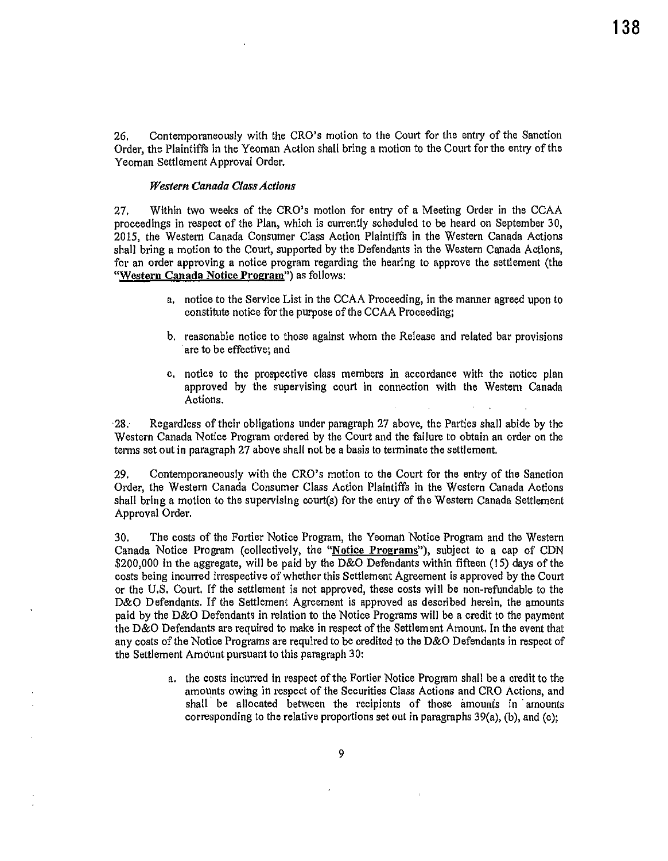26. Contemporaneously with the CRO's motion to the Court for the entry of the Sanction Order, the Plaintiffs in the Yeoman Action shall bring a motion to the Court for the entry of the Yeoman Settlement Approval Order.

### *Western Canada Class Actions*

27. Within two weeks of the CRO's motion for entry of a Meeting Order in the CCAA proceedings in respect of the Plan, which is currently scheduled to be heard on September 30, 2015, the Western Canada Consumer Class Action Plaintiffs in the Western Canada Actions shall bring a motion to the Court, supported by the Defendants in the Western Canada Actions, for an order approving a notice program regarding the hearing to approve the settlement (the "Western Canada Notice Program") as follows:

- a, notice to the Service List in the CCAA Proceeding, in the manner agreed upon to constitute notice for the purpose of the CCAA Proceeding;
- b, reasonable notice to those against whom the Release and related bar provisions are to be effective; and
- c, notice to the prospective class members in accordance with the notice plan approved by the supervising court in connection with the Western Canada Actions.

28; Regardless of their obligations under paragraph 27 above, the Parties shall abide by the Western Canada Notice Program ordered by the Court and the failure to obtain an order on the terms set out in paragraph 27 above shall not be a basis to terminate the settlement.

29. Contemporaneously with the CRO's motion to the Court for the entry of the Sanction Order, the Western Canada Consumer Class Action Plaintiffs in the Western Canada Actions shall bring a motion to the supervising court(s) for the entry of the Western Canada Settlement Approval Order.

30. The costs of the Fortier Notice Program, the Yeoman Notice Program and the Western Canada Notice Program (collectively, the "Notice Programs"), subject to a cap of CDN \$200,000 in the aggregate, will be paid by the D&O Defendants within fifteen (15) days of the costs being incurred irrespective of whether this Settlement Agreement is approved by the Court or the U.S. Court. If the settlement is not approved, these costs will be non-refundable to the D&O Defendants. If the Settlement Agreement is approved as described herein, the amounts paid by the D&O Defendants in relation to the Notice Programs will be a credit to the payment the D&O Defendants are required to make in respect of the Settlement Amount. In the event that any costs of the Notice Programs are required to be credited to the D&O Defendants in respect of the Settlement Amount pursuant to this paragraph 30:

> a. the costs incurred in respect of the F01tier Notice Program shall be a credit to the amounts owing in respect of the Securities Class Actions and CRO Actions, and shall be allocated between the recipients of those amounts in amounts corresponding to the relative proportions set out in paragraphs  $39(a)$ , (b), and (c);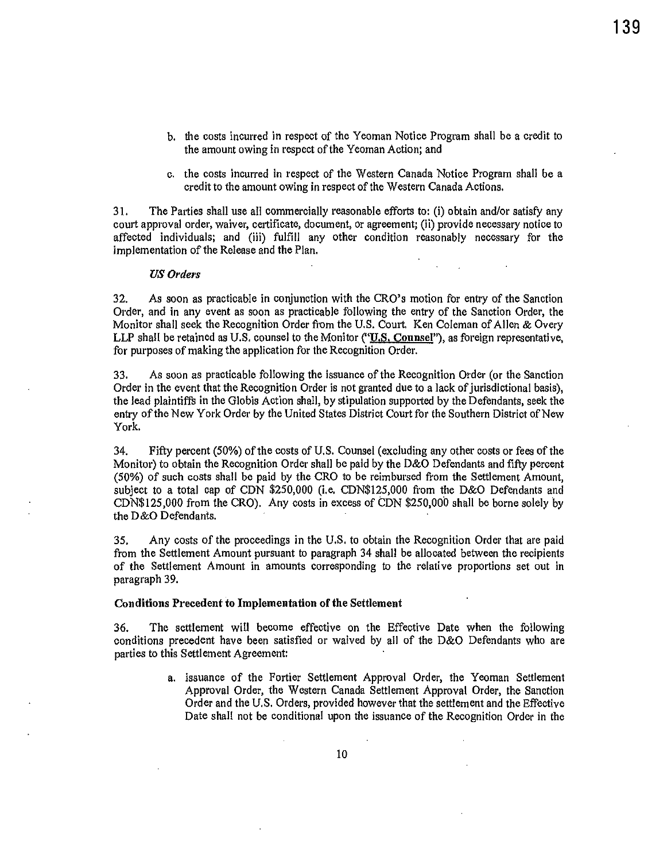- b. the costs incurred in respect of the Yeoman Notice Program shall be a credit to the amount owing in respect of the Yeoman Action; and
- c. the costs incurred in respect of the Western Canada Notice Program shall be a credit to the amount owing in respect of the Western Canada Actions.

3 !. The Parties shall use all commercially reasonable efforts to: (i) obtain and/or satisfy any court approval order, waiver, certificate, document, or agreement; (ii) provide necessary notice to affected individuals; and (iii) fulfill any other condition reasonably necessary for the implementation of the Release and the Plan.

#### US Orders

32. As soon as practicable in conjunction with the CRO's motion for entry of the Sanction Order, and in any event as soon as practicable following the entry of the Sanction Order, the Monitor shall seek the Recognition Order from the U.S. Court. Ken Coleman of Allen & Overy LLP shall be retained as U.S. counsel to the Monitor ("U.S. Counsel"), as foreign representative, for purposes of making the application for the Recognition Order.

33. As soon as practicable following the issuance of the Recognition Order (or the Sanction Order in the event that the Recognition Order is not granted due to a lack of jurisdictional basis), the lead plaintiffs in the Globis Action shall, by stipulation supported by the Defendants, seek the entry of the New York Order by the United States District Court for the Southern District of New York.

34. Fifty percent (50%) of the costs of U.S. Counsel (excluding any other costs or fees of the Monitor) to obtain the Recognition Order shall be paid by the D&O Defendants and fifty percent (50%) of such costs shall be paid by the CRO to be reimbursed from the Settlement Amount, subject to a total cap of CDN \$250,000 (i.e. CDN\$125,000 from the D&O Defendants and CDN\$125,000 from the CRO). Any costs in excess of CON \$250,000 shall be borne solely by the D&O Defendants.

35. Any costs of the proceedings in the U.S. to obtain the Recognition Order that are paid from the Settlement Amount pursuant to paragraph 34 shall be allocated between the recipients of the Settlement Amount in amounts corresponding to the relative proportions set out in paragraph 39.

# Conditions Precedent to Implementation of the Settlement

36. The settlement will become effective on the Effective Date when the following conditions precedent have been satisfied or waived by all of the D&O Defendants who are parties to this Settlement Agreement:

> a. issuance of the Fortier Settlement Approval Order, the Yeoman Settlement Approval Order, the Western Canada Settlement Approval Order, the Sanction Order and the U.S. Orders, provided however that the settlement and the Effective Date shall not be conditional upon the issuance of the Recognition Order in the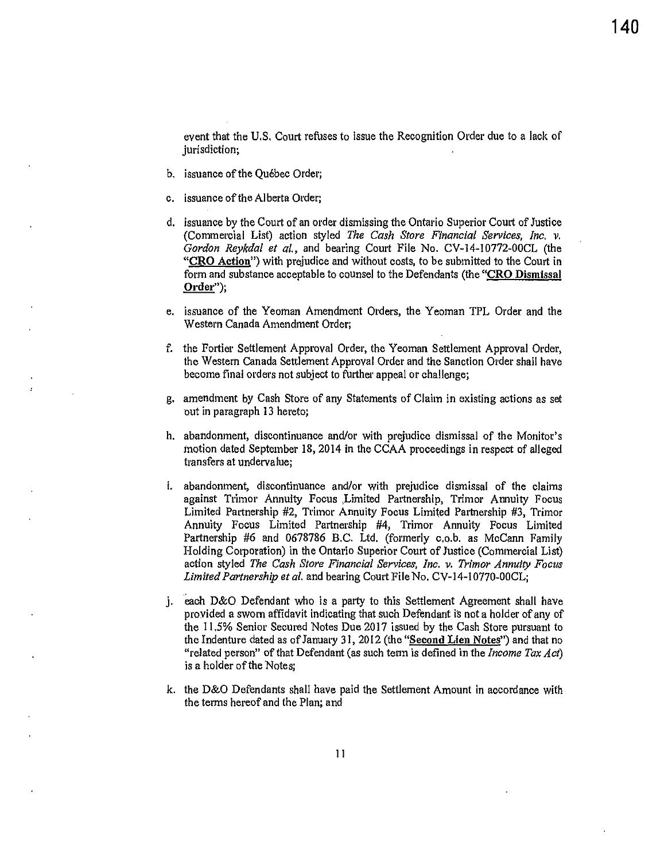event that the U.S. Court refuses to issue the Recognition Order due to a lack of jurisdiction;

- b. issuance of the Québec Order;
- c. issuance of the Alberta Order;
- d. issuance by the Court of an order dismissing the Ontario Superior Court of Justice (Commercial List) action styled *The Cash Store Financial Services, Inc. v.*  Gordon Reykdal et al., and bearing Court File No. CV-14-10772-00CL (the "CRO Action") with prejudice and without costs, to be submitted to the Court in form and substance acceptable to counsel to the Defendants (the "CRO Dismissal <u>Order'');</u> form and<br>Order");<br>.
- e. issuance of the Yeoman Amendment Orders, the Yeoman TPL Order and the Western Canada Amendment Order;
- f. the Fortier Settlement Approval Order, the Yeoman Settlement Approval Order, the Western Canada Settlement Approval Order and the Sanction Order shall have become final orders not subject to further appeal or challenge;
- g. amendment by Cash Store of any Statements of Claim in existing actions as set out in paragraph 13 hereto;
- h. abandonment, discontinuance and/or with prejudice dismissal of the Monitor's motion dated September 18, 2014 in the CCAA proceedings in respect of alleged transfers at undervalue;
- i. abandonment, discontinuance and/or with prejudice dismissal of the claims against Trimor Annuity Focus ,Limited Partnership, Trimor Amuity Focus Limited Partnership #2, Trimor Annuity Focus Limited Partnership #3, Trimor Annuity Focus Limited Partnership #4, Trimor Annuity Focus Limited Partnership #6 and 0678786 B.C. Ltd, (formerly c.o.b. as McCann Family Holding Cotporation) in the Ontario Superior Court of Justice (Commercial List) action styled *The Cash Store Financial Services, Inc.* v. *Trimor Annuity Focus Limited Partnership et al.* and bearing Court File No, CV-14-10770-00CL;
- j. each D&O Defendant who is a party to this Settlement Agreement shall have provided a sworn affidavit indicating that such Defendant is not a holder of any of the 11.5% Senior Secured Notes Due 2017 issued by the Cash Store pursuant to the Indenture dated as of January 31, 2012 (the "Second Lien Notes") and that no "related person" of that Defendant (as such tennis defined in the *Income Tax Act)*  is a holder of the Notes;
- k. the D&O Defendants shall have paid the Settlement Amount in accordance with the terms hereof and the Plan; and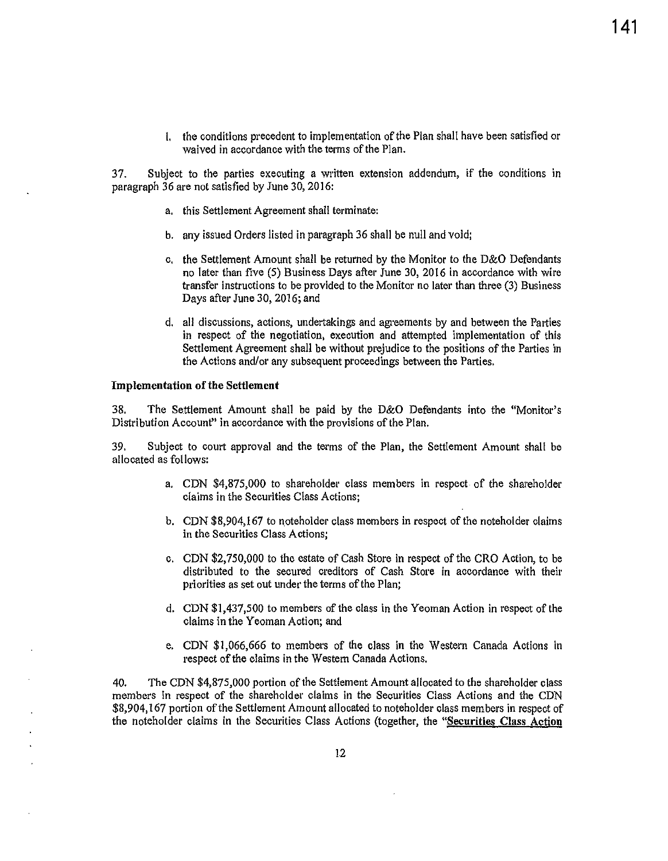l. the conditions precedent to implementation of the Plan shall have been satisfied or waived in accordance with the terms of the Plan.

37. Subject to the parties executing a written extension addendum, if the conditions in paragraph 36 are not satisfied by June 30, 2016:

- a. this Settlement Agreement shall terminate:
- b. any issued Orders listed in paragraph 36 shall be null and void;
- c. the Settlement Amount shall be returned by the Monitor to the D&O Defendants no later than five (5) Business Days after June 30, 2016 in accordance with wire transfer instructions to be provided to the Monitor no later than three (3) Business Days after June 30, 2016; and
- d. all discussions, actions, undertakings and agreements by and between the Parties in respect of the negotiation, execution and attempted implementation of this Settlement Agreement shall be without prejudice to the positions of the Parties in the Actions and/or any subsequent proceedings between the Parties.

#### Implementation of the Settlement

38. The Settlement Amount shall be paid by the D&O Defendants into the "Monitor's Distribution Account" in accordance with the provisions of the Plan.

39. Subject to court approval and the terms of the Plan, the Settlement Amount shall be allocated as follows:

- a. CDN \$4,875,000 to shareholder class members in respect of the shareholder claims in the Securities Class Actions;
- b. CDN \$8,904,167 to noteholder class members in respect of the noteholder claims in the Securities Class Actions;
- c. CDN \$2,750,000 to the estate of Cash Store in respect of the CRO Action, to be distributed to the secured creditors of Cash Store in accordance with their priorities as set out under the terms of the Plan;
- d. CDN \$1,437,500 to members of the class in the Yeoman Action in respect of the claims in the Yeoman Action; and
- e. CDN \$1,066,666 to members of the class in the Western Canada Actions in respect of the claims in the Western Canada Actions.

40. The CDN \$4,875,000 portion of the Settlement Amount allocated to the shareholder class members in respect of the shareholder claims in the Securities Class Actions and the CDN \$8,904, 167 portion of the Settlement Amount allocated to noteholder class members in respect of the noteholder claims in the Securities Class Actions (together, the "Securities Class Action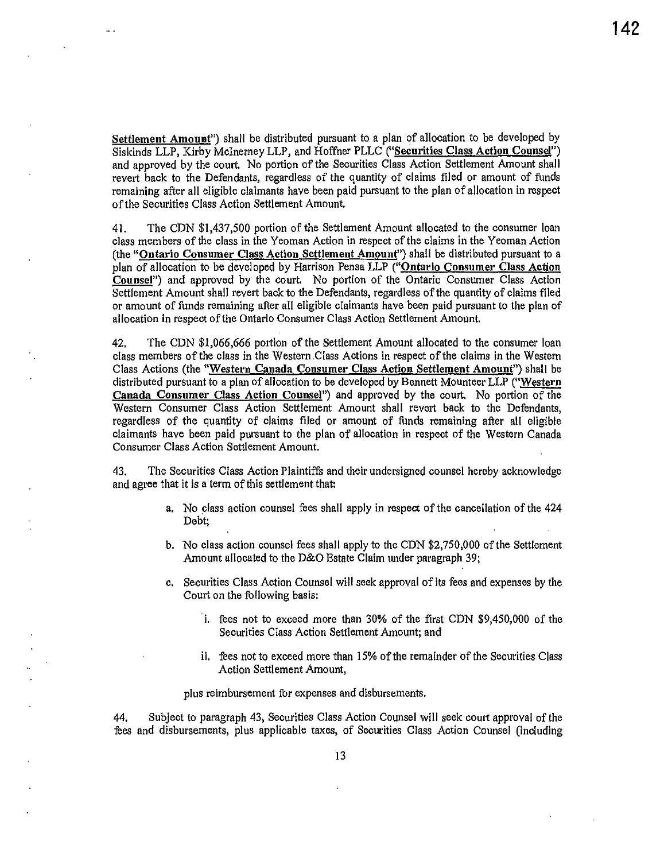Settlement Amount") shall be distributed pursuant to a plan of allocation to be developed by Siskinds LLP, Kirby McInerney LLP, and Hoffner PLLC ("Securities Class Action Counsel") and approved by the court. No portion of the Securities Class Action Settlement Amount shall revert back to the Defendants, regardless of the quantity of claims filed or amount of funds remaining after all eligible claimants have been paid pursuant to the plan of allocation in respect of the Securities Class Action Settlement Amount.

41. The CDN \$1,437,500 portion of the Settlement Amount allocated to the consumer loan class members of the class in the Yeoman Action in respect of the claims in the Yeoman Action (the "Ontario Consumer Class Action Settlement Amount") shall be distributed pursuant to a plan of allocation to be developed by Harrison Pensa LLP ("Ontario Consumer Class Action Counsel") and approved by the court. No portion of the Ontario Consumer Class Action Settlement Amount shall revert back to the Defendants, regardless of the quantity of claims filed or amount of funds remaining after ail eligible claimants have been paid pursuant to the plan of allocation in respect of the Ontario Consumer Class Action Settlement Amount.

42. The CDN \$1,066,666 po1tion of the Settlement Amount allocated to the consumer loan class members of the class in the Western.Class Actions in respect of the claims in the Western Class Actions (the "Western Canada Consumer Class Action Settlement Amount") shall be distributed pursuant to a plan of allocation to be developed by Bennett Mounteer LLP ("Western Canada Consumer Class Action Counsel") and approved by the court, No portion of the Western Consumer Class Action Settlement Amount shall revert back to the Defendants, regardless of the quantity of claims filed or amount of funds remaining after all eligible claimants have been paid pursuant to the plan of allocation in respect of the Western Canada Consumer Class Action Settlement Amount.

43. The Securities Class Action Plaintiffs and their undersigned counsel hereby acknowledge and agree that it is a term of this settlement that:

- a. No class action counsel fees shall apply in respect of the cancellation of the 424 Debt;
- b. No class action counsel fees shall apply to the CDN \$2,750,000 of the Settlement Amount allocated to the D&O Estate Claim under paragraph 39;
- c. Securities Class Action Counsel will seek approval of its fees and expenses by the Court on the following basis:
	- · i. fees not to exceed more than 30% of the first CDN \$9,450,000 of the Securities Class Action Settlement Amount; and
	- ii. fees not to exceed more than 15% of the remainder of the Securities Class Action Settlement Amount,

plus reimbursement for expenses and disbursements.

44. Subject to paragraph 43, Securities Class Action Counsel will seek comt approval of the fees and disbursements, plus applicable taxes, of Securities Class Action Counsel (including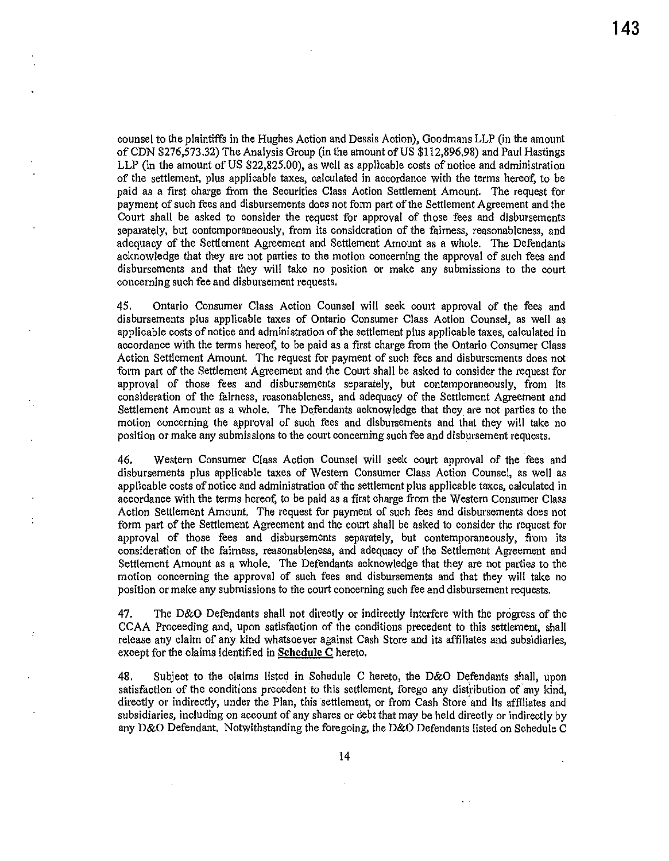counsel to the plaintiffs in the Hughes Action and Dessis Action), Goodmans LLP (in the amount of CDN \$276,573.32) The Analysis Group (in the amount of US \$112,896.98) and Paul Hastings LLP (in the amount of US \$22,825.00), as well as applicable costs of notice and administration of the settlement, plus applicable taxes, calculated in accordance with the terms hereof, to be paid as a first charge from the Securities Class Action Settlement Amount. The request for payment of such fees and disbursements does not form part of the Settlement Agreement and the Court shall be asked to consider the request for approval of those fees and disbursements separately, but contemporaneously, from its consideration of the fairness, reasonableness, and adequacy of the Settlement Agreement and Settlement Amount as a whole. The Defendants acknowledge that they are not parties to the motion concerning the approval of such fees and disbursements and that they will take no position or make any submissions to the court concerning such fee and disbursement requests.

45. Ontario Consumer Class Action Counsel will seek court approval of the fees and disbursements plus applicable taxes of Ontario Consumer Class Action Counsel, as well as applicable costs of notice and administration of the settlement plus applicable taxes, calculated in accordance with the terms hereof, to be paid as a first charge from the Ontario Consumer Class Action Settlement Amount. The request for payment of such fees and disbursements does not form part of the Settlement Agreement and the Coutt shall be asked to consider the request for approval of those fees and disbursements separately, but contemporaneously, from its consideration of the fairness, reasonableness, and adequacy of the Settlement Agreement and Settlement Amount as a whole. The Defendants acknowledge that they are not patties to the motion concerning the approval of such fees and disbursements and that they will take no position or make any submissions to the court concerning such fee and disbursement requests.

46. Western Consumer Class Action Counsel will seek court approval of the fees and disbursements plus applicable taxes of Western Consumer Class Action Counsel, as well as applicable costs of notice and administration of the settlement plus applicable taxes, calculated in accordance with the terms hereof, to be paid as a first charge from the Western Consumer Class Action Settlement Amount, The request for payment of such fees and disbursements does not form part of the Settlement Agreement and the court shall be asked to consider the request for approval of those fees and disbursements separately, but contemporaneously, from its consideration of the fairness, reasonableness, and adequacy of the Settlement Agreement and Settlement Amount as a whole. The Defendants acknowledge that they are not patties to the motion concerning the approval of such fees and disbursements and that they will take no position or make any submissions to the comt concerning such fee and disbursement requests.

47. The D&O Defendants shall not directly or indirectly interfere with the progress of the CCAA Proceeding and, upon satisfaction of the conditions precedent to this settlement, shall release any claim of any kind whatsoever against Cash Store and its affiliates and subsidiaries, except for the claims identified in **Schedule C** hereto.

48. Subject to the claims listed in Schedule C hereto, the D&O Defendants shall, upon satisfaction of the conditions precedent to this settlement, forego any distribution *of* any kind, directly or indirectly, under the Plan, this settlement, or from Cash Store and its affiliates and subsidiaries, including on account of any shares or debt that may be held directly or indirectly by any D&O Defendant. Notwithstanding the foregoing, the D&O Defendants listed on Schedule C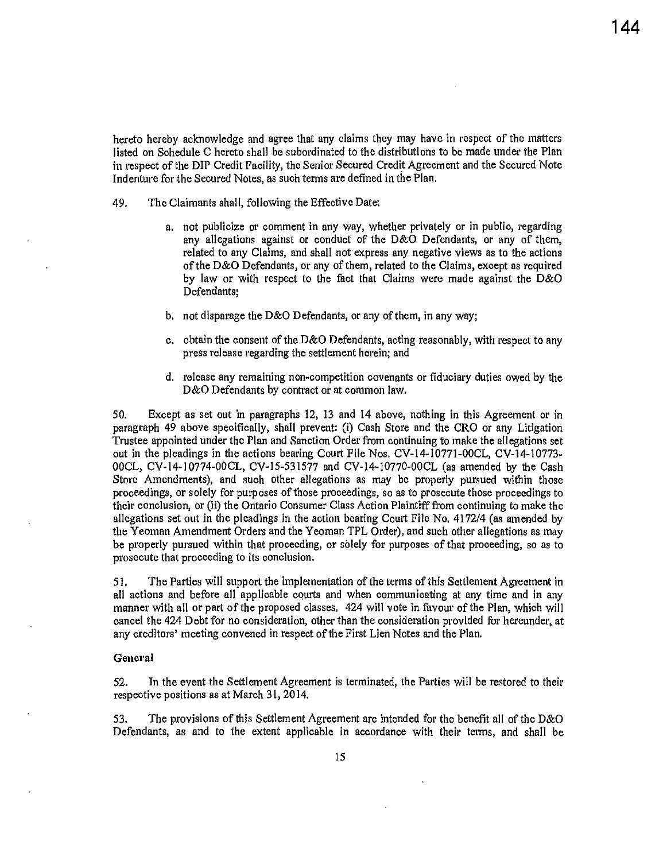hereto hereby acknowledge and agree that any claims they may have in respect of the matters listed on Schedule C hereto shall be subordinated to the distributions to be made under the Plan in respect of the DIP Credit Facility, the Senior Secured Credit Agreement and the Secured Note Indenture for the Secured Notes, as such terms are defined in the Plan.

- 49. The Claimants shall, following the Effective Date:
	- a. not publicize or comment in any way, whether privately or in public, regarding any allegations against or conduct of the D&O Defendants, or any of them, related to any Claims, and shall not express any negative views as to the actions of the D&O Defendants, or any of them, related to the Claims, except as required by law or with respect to the fact that Claims were made against the D&O Defendants;
	- b. not disparage the D&O Defendants, or any of them, in any way;
	- c. obtain the consent of the D&O Defendants, acting reasonably, with respect to any press release regarding the settlement herein; and
	- d. release any remaining non-competition covenants or fiduciary duties owed by the D&O Defendants by contract or at common law.

50. Except as set out in paragraphs 12, 13 and 14 above, nothing in this Agreement or in paragraph 49 above specifically, shall prevent: (i) Cash Store and the CRO or any Litigation Trustee appointed under the Plan and Sanction Order from continuing to make the allegations set out in the pleadings in the actions bearing Court File Nos. CV-14-10771-00CL, CV-14-10773- 00CL, CV-14-10774-00CL, CV-15-531577 and CV-14·10770-00CL (as amended by the Cash Store Amendments), and such other allegations as may be properly pursued within those proceedings, or solely for purposes of those proceedings, so as to prosecute those proceedings to their conclusion, or (ii) the Ontario Consumer Class Action Plaintiff from continuing to make the allegations set out in the pleadings in the action bearing Court File No. 4172/4 (as amended by the Yeoman Amendment Orders and the Yeoman TPL Order), and such other allegations as may be properly pursued within that proceeding, or solely for purposes of that proceeding, so as to prosecute that proceeding to its conclusion.

51. The Parties will support the implementation of the terms of this Settlement Agreement in all actions and before all applicable courts and when communicating at any time and in any manner with all or part of the proposed classes. 424 will vote in favour of the Plan, which will cancel the 424 Debt for no consideration, other than the consideration provided for hereunder, at any creditors' meeting convened in respect of the First Lien Notes and the Plan.

#### General

52. In the event the Settlement Agreement is terminated, the Parties will be restored to thefr respective positions as at March 31, 2014.

53. The provisions of this Settlement Agreement are intended for the benefit all of the D&O Defendants, as and to the extent applicable in accordance with their terms, and shall be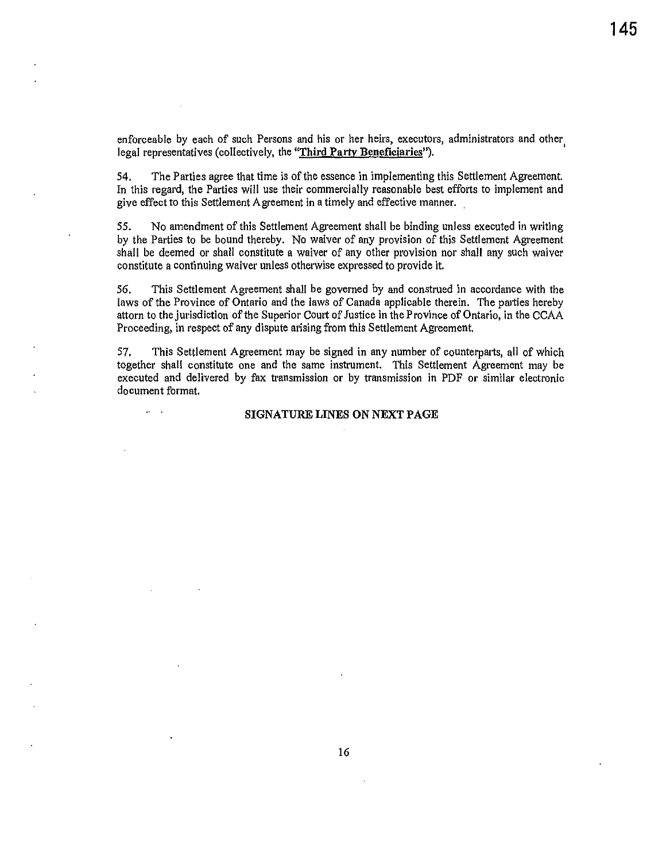enforceable by each of such Persons and his or her heirs, executors, administrators and other, legal representatives (collectively, the **"Third** Partv Beneficiaries").

54. The Parties agree that time is of the essence in implementing this Settlement Agreement. In this regard, the Parties will use their commercially reasonable best efforts to implement and give effect to this Settlement Agreement in a timely and effective manner.

55. No amendment of this Settlement Agreement shall be binding unless executed in writing by the Parties to be bound thereby. No waiver of any provision of this Settlement Agreement shall be deemed or shall constitute a waiver of any other provision nor shall any such waiver constitute a continuing waiver unless otherwise expressed to provide it.

56. This Settlement Agreement shall be governed by and construed in accordance with the laws of the Province of Ontario and the laws of Canada applicable therein. The parties hereby attorn to the jurisdiction of the Superior Court of Justice in the Province of Ontario, in the CCAA Proceeding, in respect of any dispute arising from this Settlement Agreement.

57. This Settlement Agreement may be signed in any number of counterparts, all of which together shall constitute one and the same instrument. This Settlement Agreement may be executed and delivered by fax transmission or by transmission in PDF or similar electronic document format.

#### SIGNATURE LINES ON NEXT PAGE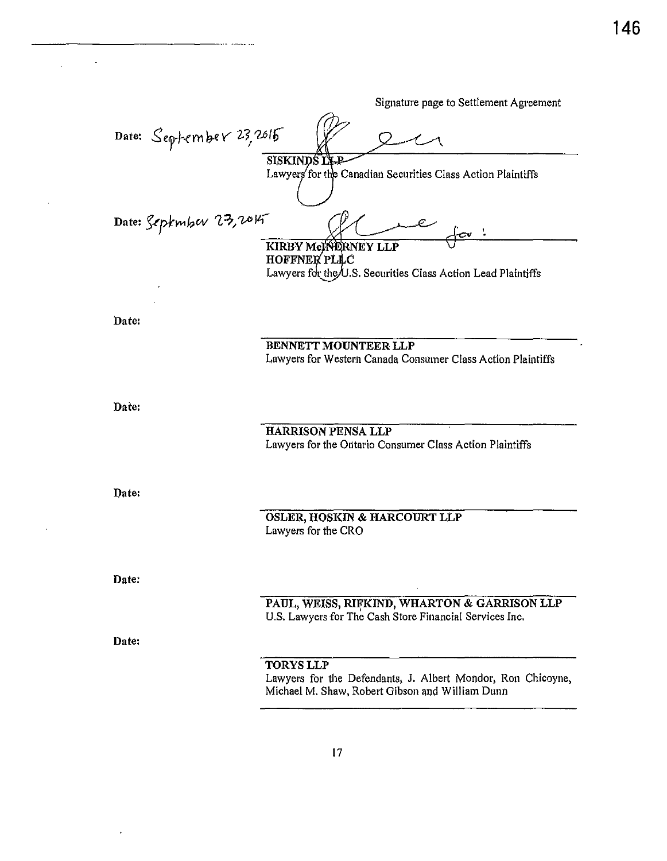Signature page to Settlement Agreement Date: September 23, 2015 **SISKINDS I** Lawyers for the Canadian Securities Class Action Plaintiffs Date: September 23,2015 KIRBY McMERNEY LLP **HOFFNER PLLC** Lawyers for the U.S. Securities Class Action Lead Plaintiffs Date: BENNETT MOUNTEER LLP Lawyers for Western Canada Consumer Class Action Plaintiffs Date: HARRISON PENSA LLP Lawyers for the Ontario Consumer Class Action Plaintiffs Date: **OSLER, HOSKIN & HARCOURT LLP** Lawyers for the CRO Date: PAUL, WEISS, RIFKIND, WHARTON & GARRISON LLP U.S. Lawyers for The Cash Store Financial Services Inc. Date: **TORYS LLP** Lawyers for the Defendants, J. Albert Mondor, Ron Chicoyne, Michael M. Shaw, Robert Gibson and William Dunn

146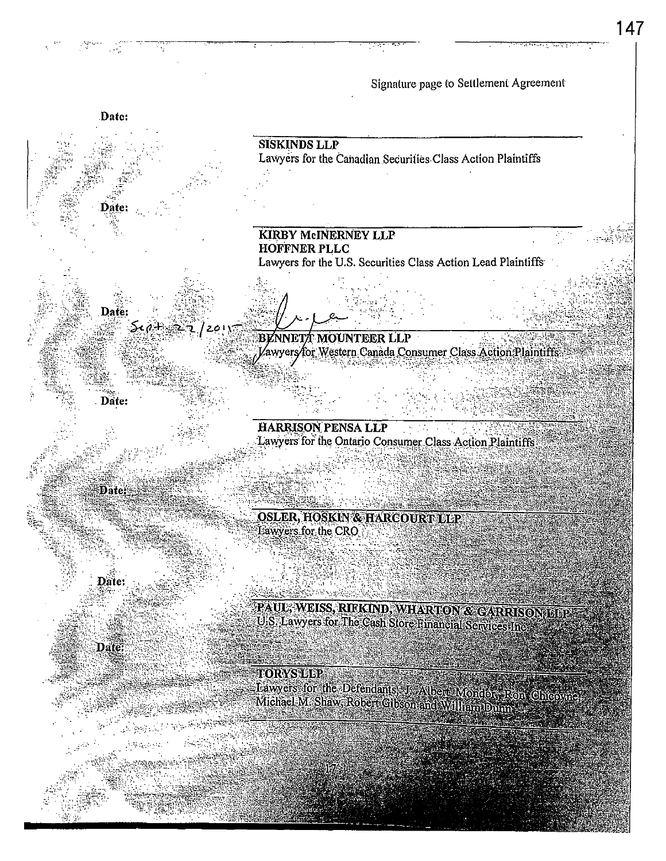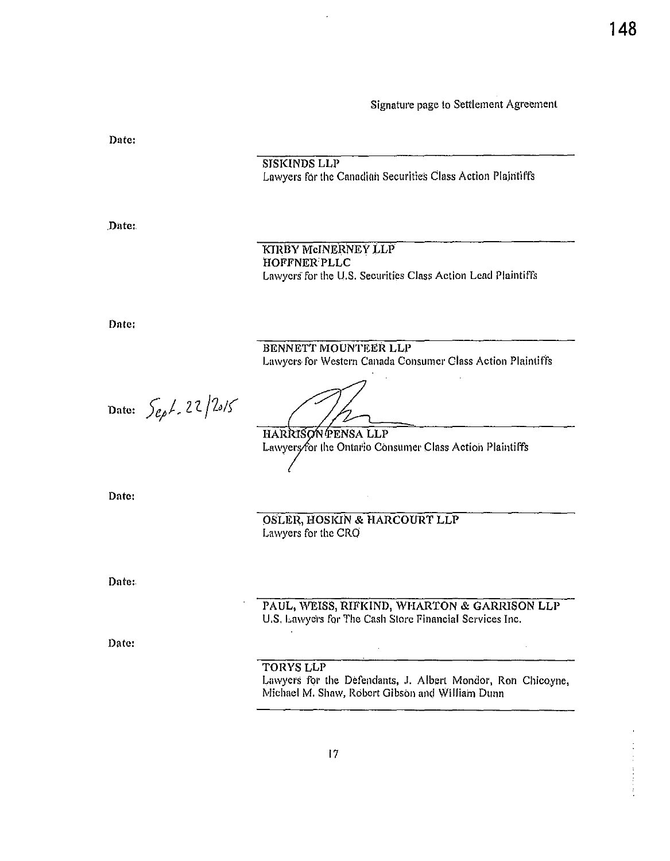Date: **SISKINDS LLP** Lawyers for the Canadian Securities Class Action Plaintiffs Date: KIRBY MCINERNEY LLP HOFFNER PLLC Lawyers for the U.S. Securities Class Action Lead Plaintiffs Date: BENNETT MOUNTEER LLP Lawyers for Western Canada Consumer Class Action Plaintiffs Date:  $\int_{e^{\rho}}\! L \cdot 22 / 25 / 5$ HARRISON PENSA LLP Lawyers/for the Ontario Consumer Class Action Plaintiffs Date: OSLER, HOSKIN & HARCOURT LLP Lawyers for the CRO Date: PAUL, WEISS, RIFKIND, WHARTON & GARRISON LLP U.S. Lawyers for The Cash Store Financial Services Inc. Date:  $\ddot{\phantom{a}}$ **TORYS LLP** Lawyers for the Defendants, J. Albert Mondor, Ron Chicoyne, Michael M. Shaw, Robert Gibson and William Dunn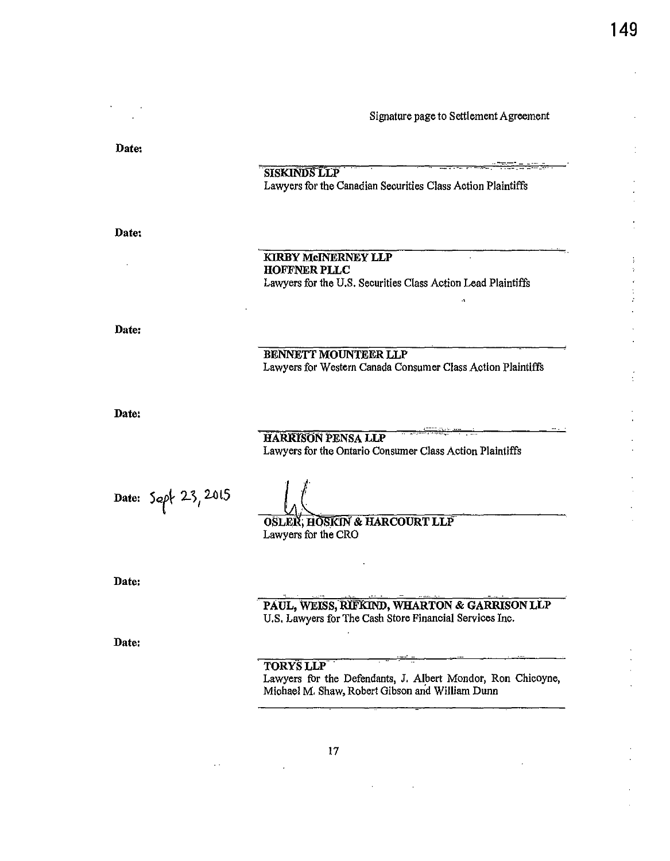4

Date:

Date:

SISKINDS LLP Lawyers for the Canadian Securities Class Action Plaintiffs

KIRBY MCINERNEY LLP HOFFNER PLLC Lawyers for the U.S. Securities Class Action Lead Plaintiffs BENNETT MOUNTEER LLP Lawyers for Western Canada Consumer Class Action Plaintiffs

Date:

Date:

HARRISON PENSA LLP Lawyers for the Ontario Consumer Class Action Plaintiffs

Date: Sept 23, 2015

OSLEIX, HOSIGIN & HARCOURT LLP Lawyers for the CRO

Date:

PAUL, WEISS, RIFKIND, WHARTON & GARRISON LLP U.S. Lawyers for The Cash Store Financial Services Inc.

Date:

# . TORYSLLP

Lawyers fbr the Defendants, J. Albert Mondor, Ron Chicoyne, Michael M. Shaw, Robert Gibson and William Dunn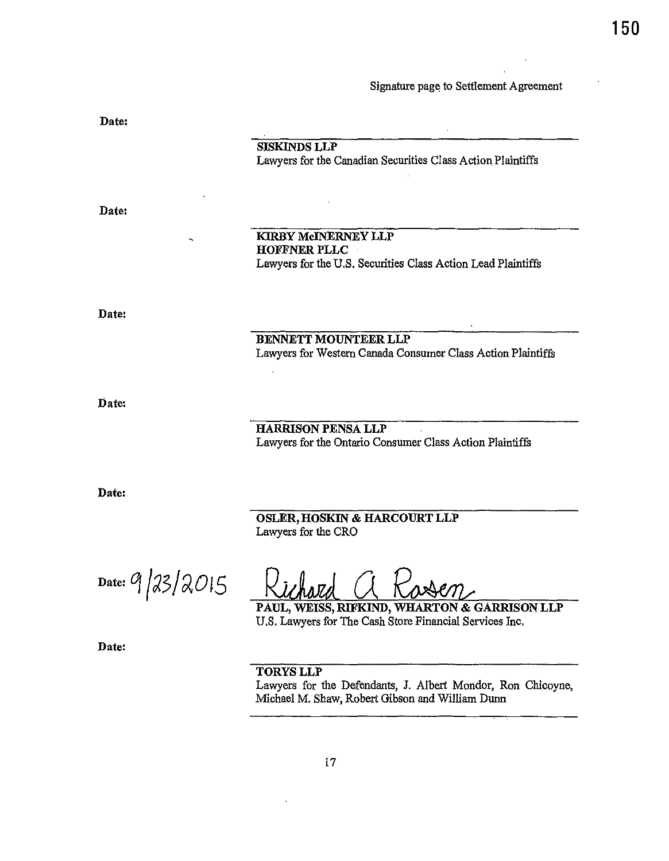| Date: |                                                                                    |
|-------|------------------------------------------------------------------------------------|
|       | <b>SISKINDS LLP</b><br>Lawyers for the Canadian Securities Class Action Plaintiffs |
| Date: |                                                                                    |
|       |                                                                                    |
|       | <b>KIRBY McINERNEY LLP</b><br><b>HOFFNER PLLC</b>                                  |
|       | Lawyers for the U.S. Securities Class Action Lead Plaintiffs                       |
|       |                                                                                    |
| Date: |                                                                                    |
|       | <b>BENNETT MOUNTEER LLP</b>                                                        |
|       | Lawyers for Western Canada Consumer Class Action Plaintiffs                        |
|       |                                                                                    |
| Date: |                                                                                    |
|       | <b>HARRISON PENSA LLP</b>                                                          |
|       | Lawyers for the Ontario Consumer Class Action Plaintiffs                           |
|       |                                                                                    |
| Date: |                                                                                    |
|       | OSLER, HOSKIN & HARCOURT LLP<br>Lawyers for the CRO                                |
|       |                                                                                    |

 $Date: 9/23/2015$ 

 $\overline{7}$ 

PAUL, WEISS, RIFKIND, WHARTON & GARRISON LLP U.S. Lawyers for The Cash Store Financial Services Inc.

Date:

TORYSLLP

Lawyers for the Defendants, J. Albert Mondor, Ron Chicoyne, Michael M. Shaw, Robert Gibson and William Dunn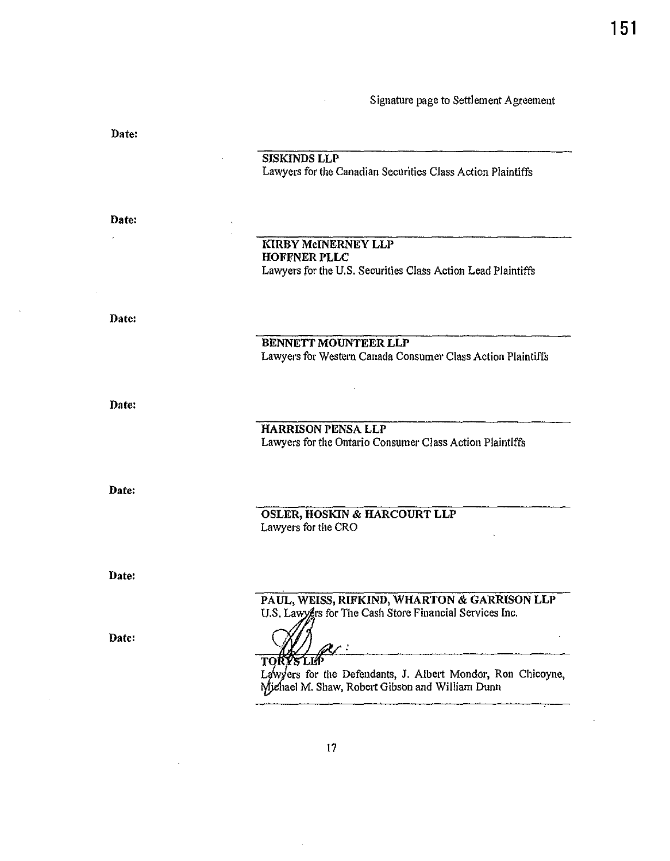Date:

SISKINDS LLP

Lawyers for the Canadian Securities Class Action Plaintiffs

Date:

# KIRBY McINERNEY LLP HOFFNER PLLC Lawyers for the U.S. Securities Class Action Lead Plaintiffs

Date:

BENNETT MOUNTEER LLP Lawyers for Western Canada Consumer Class Action Plaintiffs

Date:

Date:

HARRISON PENSA LLP Lawyers for the Ontario Consumer Class Action Plaintiffs

OSLER, HOSKIN & HARCOURT LLP Lawyers for the CRO

Date:

PAUL, WElSS, RIFKIND, WHARTON & GARRISON LLP U.S. Lawygrs for The Cash Store Financial Services Inc.

Date:

 $\ddot{\cdot}$ 

**TORY's LIF**<br>Lawyers for<br>Michael M. S Lawyers for the Defendants, J. Albert Mondor, Ron Chicoyne, Michael M. Shaw, Robert Gibson and William Dunn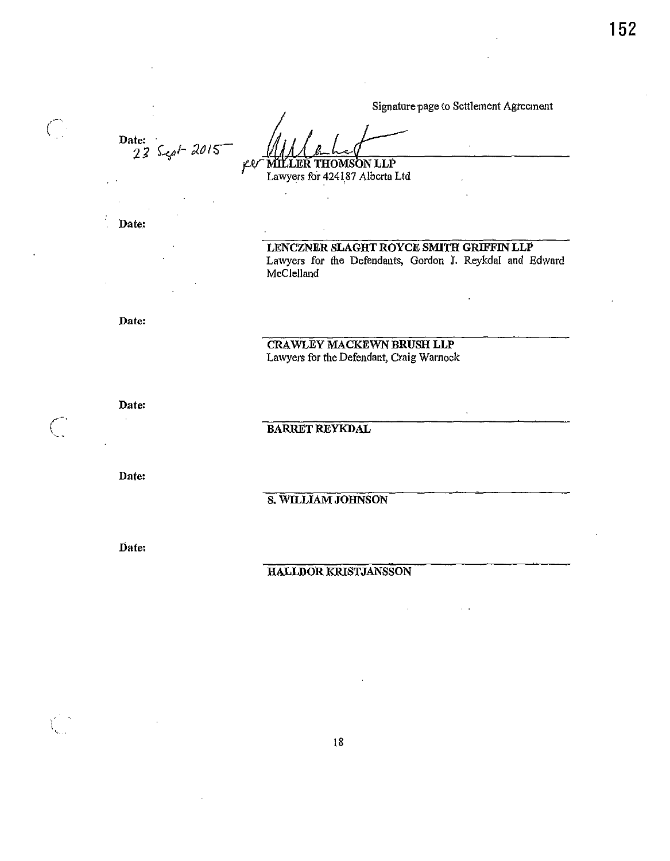$\sim$   $\sim$ 

Date:  $23$  Sept 2015

jLlV **MILLER THOMSON LLP** Lawyers for 424187 Alberta Ltd

Date:

 $\bigcap$ 

LENCZNER SLAGHT ROYCE SMITH GRIFFIN LLP Lawyers for the Defendants, Gordon J. Reykdal and Edward McClelland

Date:

**CRAWLEY MACKEWN BRUSH LLP** Lawyers for the Defendant, Craig Warnock

 $\mathbf{r}$ 

Date:

**BARRET REYKDAL** 

Date:

S. WILLIAM JOHNSON

Date:

# HALLDOR KRISTJANSSON

 $18\,$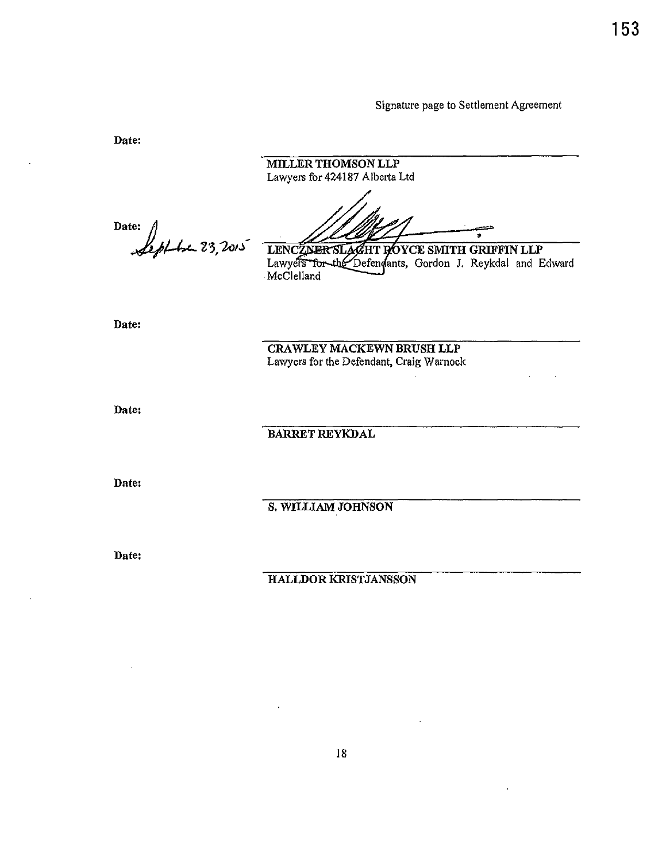**153** 

Signature page to Settlement Agreement

MILLER THOMSON LLP Lawyers for 424187 Alberta Ltd  $4423, 2015$ LENCZNER SLAGHT ROYCE SMITH GRIFFIN LLP<br>Lawyers for the Defendants, Gordon J. Reykdal and Edward McClelland CRAWLEY MACKEWN BRUSH LLP Lawyers for the Defendant, Craig Warnock BARRET REYKDAL S. WILLIAM JOHNSON HALLDOR KRISTJANSSON

Date:

18

Date:

Date:

Date:

Date:

Date: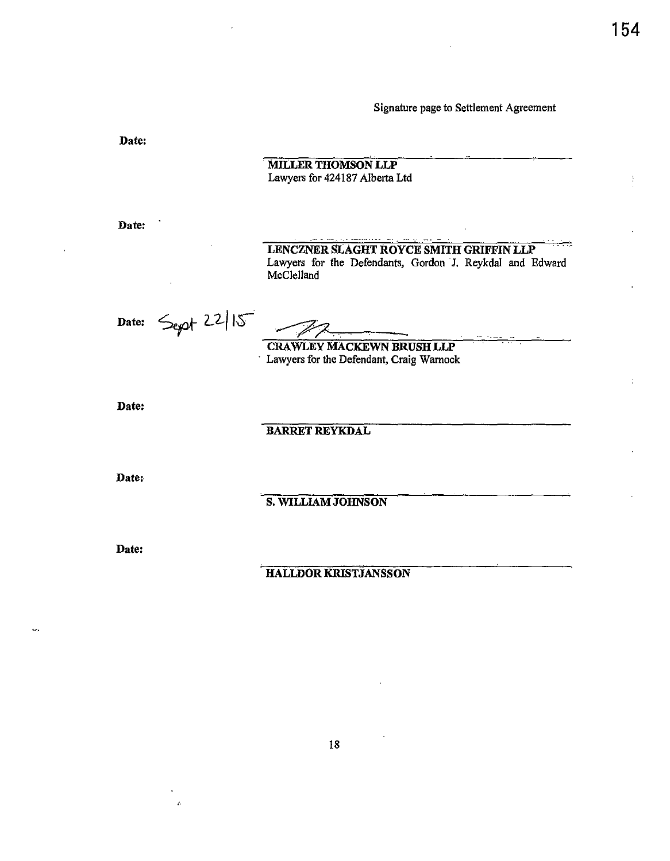÷

Signature page to Settlement Agreement



18

,·.

 $\tilde{\mathcal{L}}$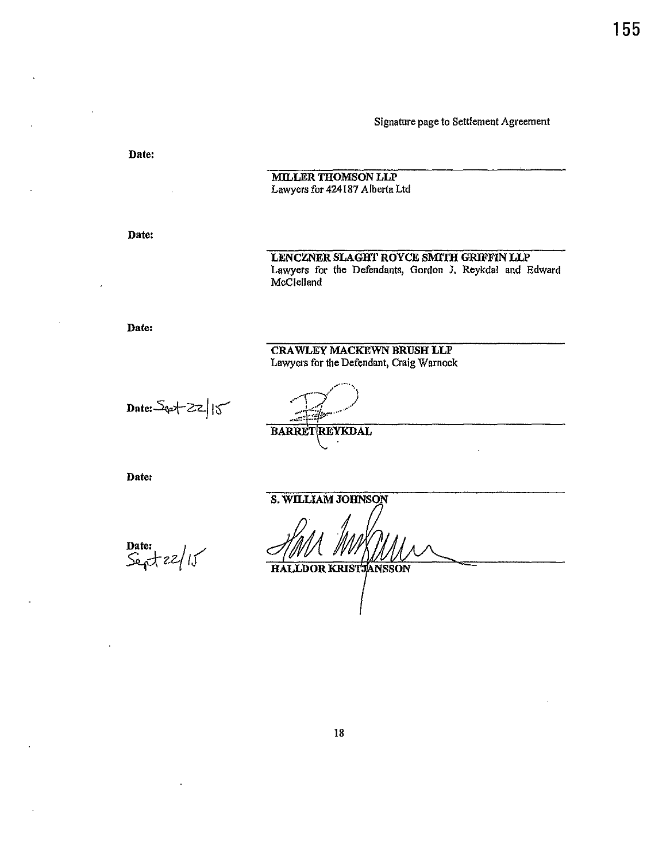Date: MILLER THOMSON LLP Lawyers for 424187 Alberta Ltd Date: LENCZNER SLAGHT ROYCE SMITH GRIFFIN LLP Lawyers for the Defendants, Gordon J. Reykdal and Edward McClelland Date: CRAWLEY MACKEWN BRUSH LLP Lawyers for the Defendant, Craig Warnock  $Date:5$ et  $zz$ | 1 $5$ **BARRET REYKDAL** Date: S. WILLIAM JOHNSON Date:  $Se^{t}$   $22/15$ HALLDOR KRISTJANSSON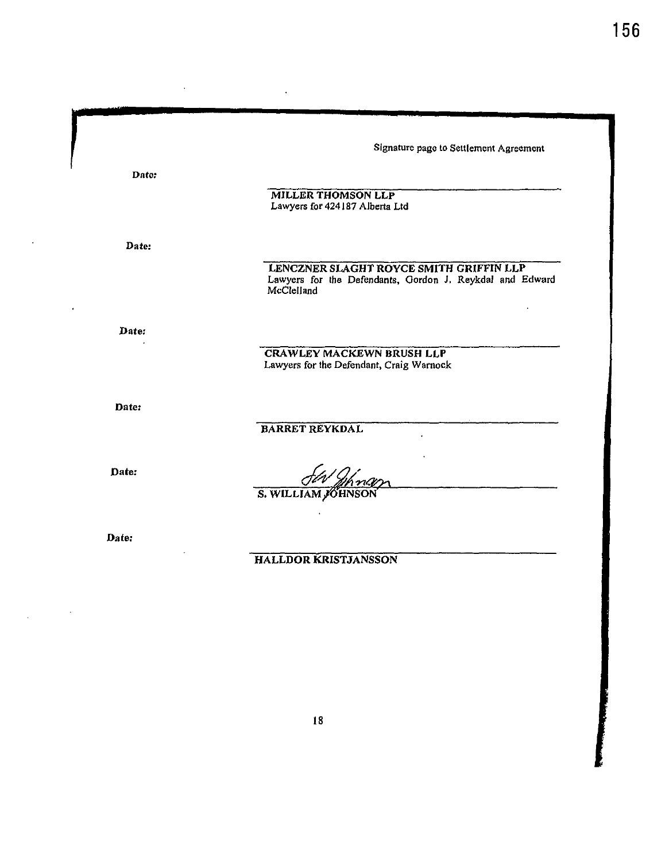| Date:<br><b>MILLER THOMSON LLP</b><br>Lawyers for 424187 Alberta Ltd   |  |
|------------------------------------------------------------------------|--|
|                                                                        |  |
|                                                                        |  |
|                                                                        |  |
| Date:                                                                  |  |
| LENCZNER SLAGHT ROYCE SMITH GRIFFIN LLP                                |  |
| Lawyers for the Defendants, Gordon J. Reykdal and Edward<br>McClelland |  |
| Date:                                                                  |  |
| <b>CRAWLEY MACKEWN BRUSH LLP</b>                                       |  |
| Lawyers for the Defendant, Craig Warnock                               |  |
| Date:                                                                  |  |
| <b>BARRET REYKDAL</b>                                                  |  |
| Date:                                                                  |  |
| S. WILLIAM JOHNSON                                                     |  |
| Date:                                                                  |  |
| <b>HALLDOR KRISTJANSSON</b>                                            |  |

l,

 $\cdot$ 

 $\ddot{\phantom{0}}$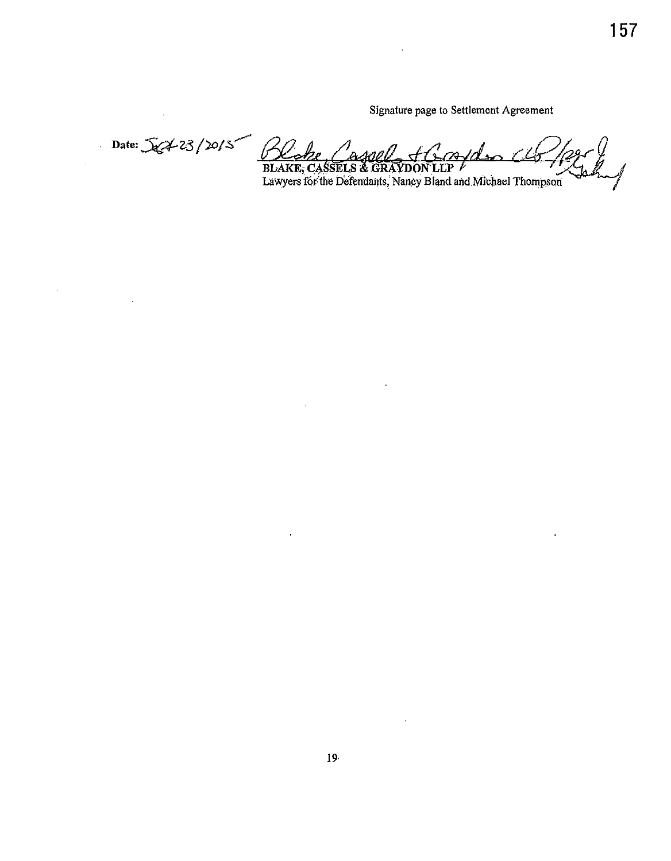à.

Signature page to Settlement Agreement

Date:  $\sqrt{x}$  23/20/5 <u> 1 X o</u> be Cassel H BLAKE, CASSELS & GRAYDON LLP /<br>Lawyers for the Defendants, Nancy Bland and Michael Thompson

 $\ddot{\phantom{a}}$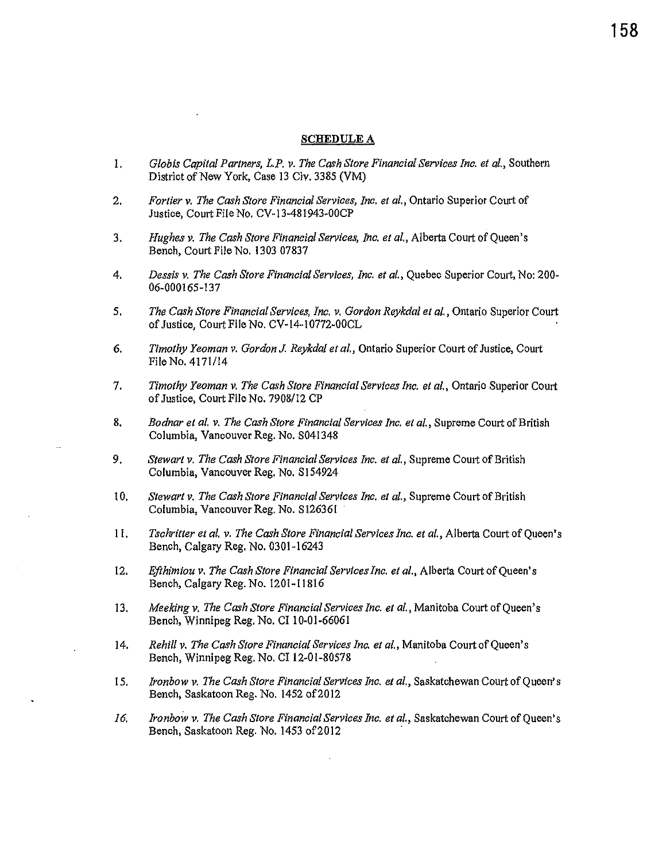#### **SCHEDULE A**

- I. *Glob is Capital Partners, L.P. v. The Cash Store Financial Services Inc. et al.,* Southern District of New York, Case 13 Civ. 3385 (VM)
- 2. *Fortier v. The Cash Store Financial Services, Inc. et al.,* Ontario Superior Court of Justice, Court File No. CV-13-481943-00CP
- 3. *Hughes v. The Cash Store Financial Services, Inc. et al.,* Alberta Court of Queen's Bench, Court File No. 1303 07837
- 4. *Dessis v. The Cash Store Financial Services, Inc. et al.,* Quebec Superior Court, No: 200- 06-000165-137
- 5. *The Cash Store Financial Services, Inc. v. Gordon Reykdal et al.,* Ontario Superior Court of Justice, Court File No. CV-14-10772-00CL
- 6. *Timothy Yeoman v. Gordon J. Reykdal et al.,* Ontario Superior Court of Justice, Court File No. 4171/14
- 7. *Timothy Yeoman v. The Cash Store Financial Services Inc. et al.*, Ontario Superior Court of Justice, Court File No. 7908/12 CP
- 8. *Bodnar et al. v. The Cash Store Financial Services Inc. et al.,* Supreme Court of British Columbia, Vancouver Reg. No. S041348
- 9. *Stewart v. The Cash Store Financial Services Inc. et al.*, Supreme Court of British Columbia, Vancouver Reg. No. SJ54924
- I 0. *Stewart v. The Cash Store Financial Services Inc. et al.,* Supreme Court of British Columbia, Vancouver Reg. No. Sl26361
- 11. *Tschritter et al. v. The Cash Store Financial Services Inc. et al.,* Alberta Court of Queen's Bench, Calgary Reg. No. 0301-16243
- 12. *Efthimiou v. The Cash Store Financial Services Inc. et al.,* Alberta Court of Queen's Bench, Calgary Reg. No. 1201-11816
- 13. *Meeking v. The Cash Store Financial Services Inc. et al.,* Manitoba Court of Queen's Bench, Winnipeg Reg. No. Cl 10-01-66061
- 14. *Rehill v. The Cash Store Financial Services Inc. et al.,* Manitoba Court of Queen's Bench, Winnipeg Reg. No. Cl 12-01-80578
- 15. *Ironbow v. The Cash Store Financial Services Inc. et al.,* Saskatchewan Court of Queen's Bench, Saskatoon Reg. No. 1452 of 2012
- *16. lronbow v. The Cash Store Financial Services Inc. et al.,* Saskatchewan Court of Queen's Bench, Saskatoon Reg. No. 1453 of 2012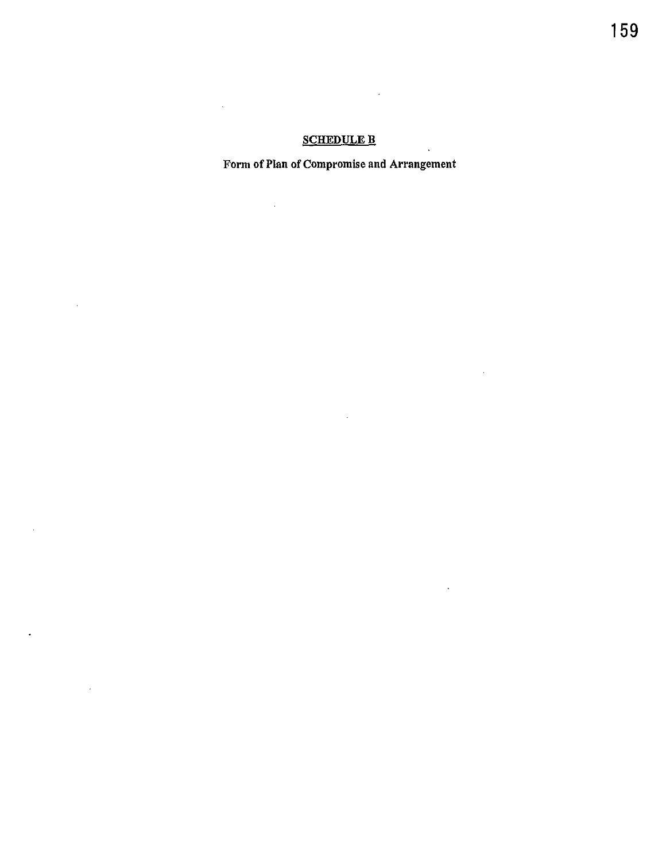# **SCHEDULE B**

 $\mathcal{A}$ 

 $\hat{\boldsymbol{\beta}}$ 

 $\sim 10^{11}$ 

 $\sim$ 

 $\sim 10^{11}$ 

 $\mathcal{L}^{\text{max}}_{\text{max}}$  , where  $\mathcal{L}^{\text{max}}_{\text{max}}$ 

 $\sim 100$ 

 $\bar{\mathcal{A}}$ 

 $\sim 10^{-11}$ 

 $\sim 10^{11}$  km s  $^{-1}$ 

# Form of Plan of Compromise and Arrangement

 $\sim 10^{11}$  km  $^{-1}$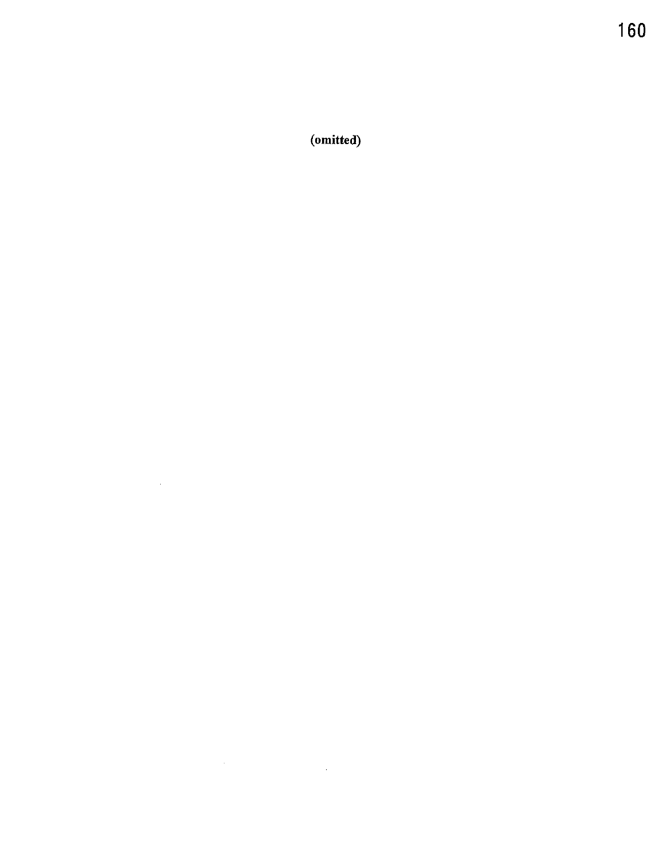(omitted)

 $\mathcal{L}^{\text{max}}_{\text{max}}$  ,  $\mathcal{L}^{\text{max}}_{\text{max}}$ 

 $\label{eq:2.1} \frac{1}{\sqrt{2\pi}}\int_{\mathbb{R}^3}\frac{1}{\sqrt{2\pi}}\int_{\mathbb{R}^3}\frac{1}{\sqrt{2\pi}}\int_{\mathbb{R}^3}\frac{1}{\sqrt{2\pi}}\int_{\mathbb{R}^3}\frac{1}{\sqrt{2\pi}}\int_{\mathbb{R}^3}\frac{1}{\sqrt{2\pi}}\int_{\mathbb{R}^3}\frac{1}{\sqrt{2\pi}}\int_{\mathbb{R}^3}\frac{1}{\sqrt{2\pi}}\int_{\mathbb{R}^3}\frac{1}{\sqrt{2\pi}}\int_{\mathbb{R}^3}\frac{1$